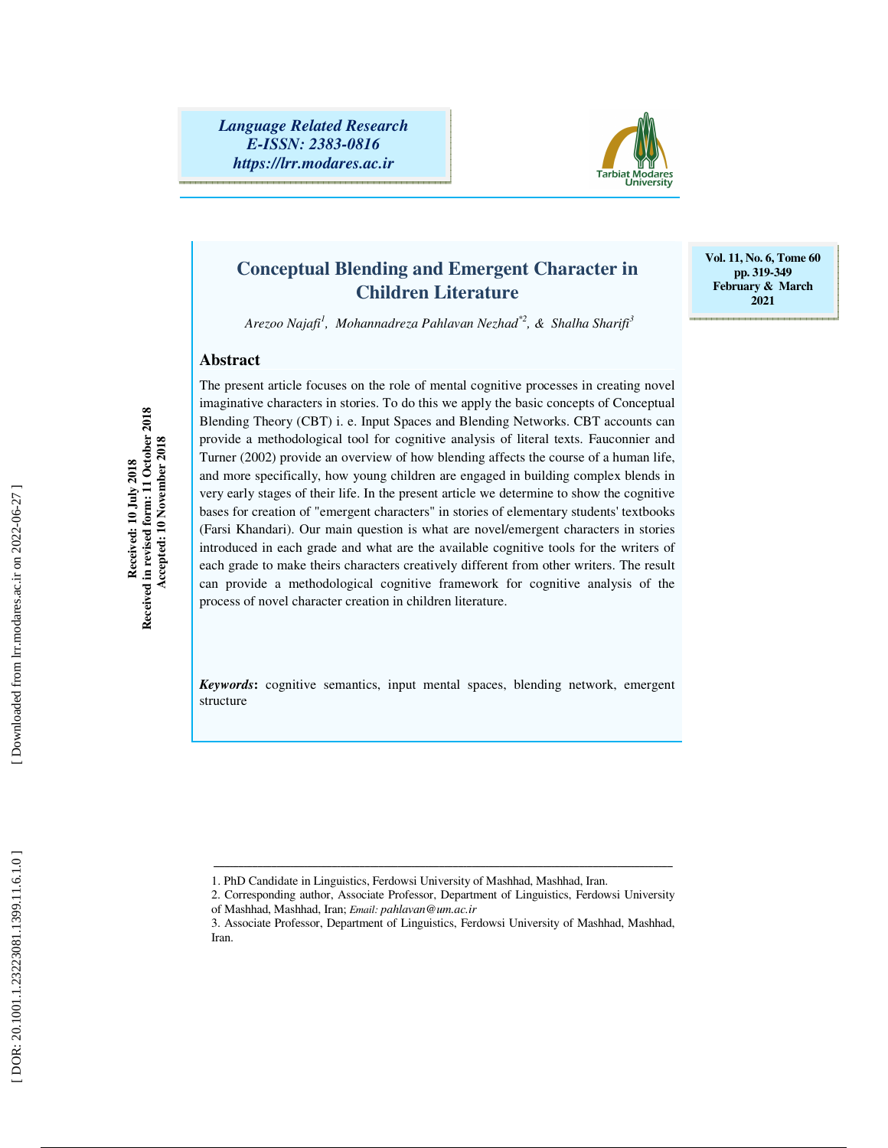*Language Related Research E-ISSN: 2383-0816 https://lrr.modares.ac.ir*



## **Conceptual Blending and Emergent Character in Children Literature**

**Vol. 11, No. 6, Tome 60 pp. 319-349 February & March 2021** 

*Arezoo Najafi 1 , Mohannadreza Pahlavan Nezhad\*2, & Shalha Sharifi 3*

#### **Abstract**

**Received: 10 July 2018 Received in revised form: 11 October 2018 Accepted: 10 November 2018** 

Received in revised form: 11 October 2018<br>Accepted: 10 November 2018 Received: 10 July 2018

The present article focuses on the role of mental cognitive processes in creating novel imaginative characters in stories. To do this we apply the basic concepts of Conceptual Blending Theory (CBT) i. e. Input Spaces and Blending Networks. CBT accounts can provide a methodological tool for cognitive analysis of literal texts. Fauconnier and Turner (2002) provide an overview of how blending affects the course of a human life, and more specifically, how young children are engaged in building complex blends in very early stages of their life. In the present article we determine to show the cognitive bases for creation of "emergent characters" in stories of elementary students' textbooks (Farsi Khandari). Our main question is what are novel/emergent characters in stories introduced in each grade and what are the available cognitive tools for the writers of each grade to make theirs characters creatively different from other writers. The result can provide a methodological cognitive framework for cognitive analysis of the process of novel character creation in children literature.

*Keywords***:** cognitive semantics, input mental spaces, blending network, emergent structure

ـــــــــــــــــــــــــــــــــــــــــــــــــــــــــــــــــــــــــــــــــــــــــــــــــــــــــــــــــــــــــــــــــــــــــــــــــــــــــــــــــــــــ

<sup>1.</sup> PhD Candidate in Linguistics, Ferdowsi University of Mashhad, Mashhad, Iran.

<sup>2.</sup> Corresponding author, Associate Professor, Department of Linguistics, Ferdowsi University of Mashhad, Mashhad, Iran; *Email: pahlavan@um.ac.ir*

<sup>3.</sup> Associate Professor, Department of Linguistics, Ferdowsi University of Mashhad, Mashhad, Iran.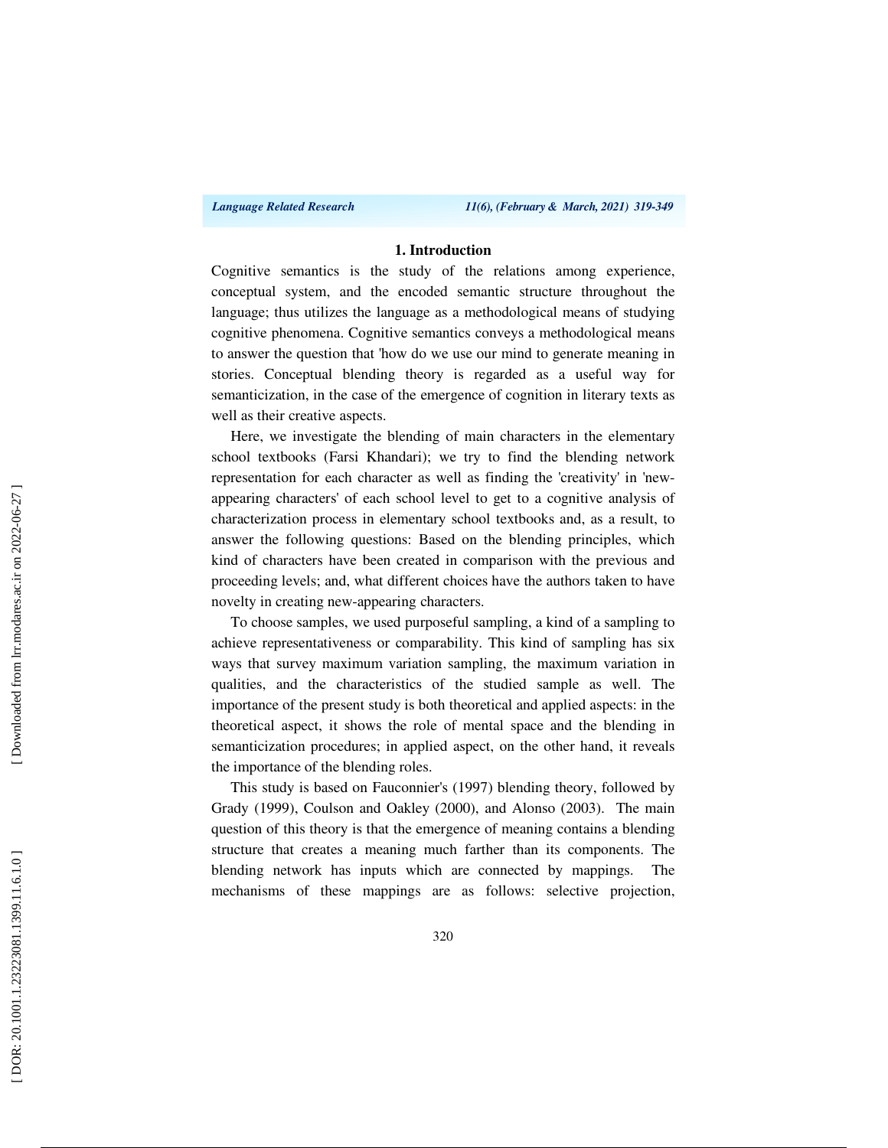#### **1. Introduction**

Cognitive semantics is the study of the relations among experience, conceptual system, and the encoded semantic structure throughout the language; thus utilizes the language as a methodological means of studying cognitive phenomena. Cognitive semantics conveys a methodological means to answer the question that 'how do we use our mind to generate meaning in stories. Conceptual blending theory is regarded as a useful way for semanticization, in the case of the emergence of cognition in literary texts as well as their creative aspects.

Here, we investigate the blending of main characters in the elementary school textbooks (Farsi Khandari); we try to find the blending network representation for each character as well as finding the 'creativity' in 'newappearing characters' of each school level to get to a cognitive analysis of characterization process in elementary school textbooks and, as a result, to answer the following questions: Based on the blending principles, which kind of characters have been created in comparison with the previous and proceeding levels; and, what different choices have the authors taken to have novelty in creating new-appearing characters.

To choose samples, we used purposeful sampling, a kind of a sampling to achieve representativeness or comparability. This kind of sampling has six ways that survey maximum variation sampling, the maximum variation in qualities, and the characteristics of the studied sample as well. The importance of the present study is both theoretical and applied aspects: in the theoretical aspect, it shows the role of mental space and the blending in semanticization procedures; in applied aspect, on the other hand, it reveals the importance of the blending roles.

This study is based on Fauconnier's (1997) blending theory, followed by Grady (1999), Coulson and Oakley (2000), and Alonso (2003). The main question of this theory is that the emergence of meaning contains a blending structure that creates a meaning much farther than its components. The blending network has inputs which are connected by mappings. The mechanisms of these mappings are as follows: selective projection,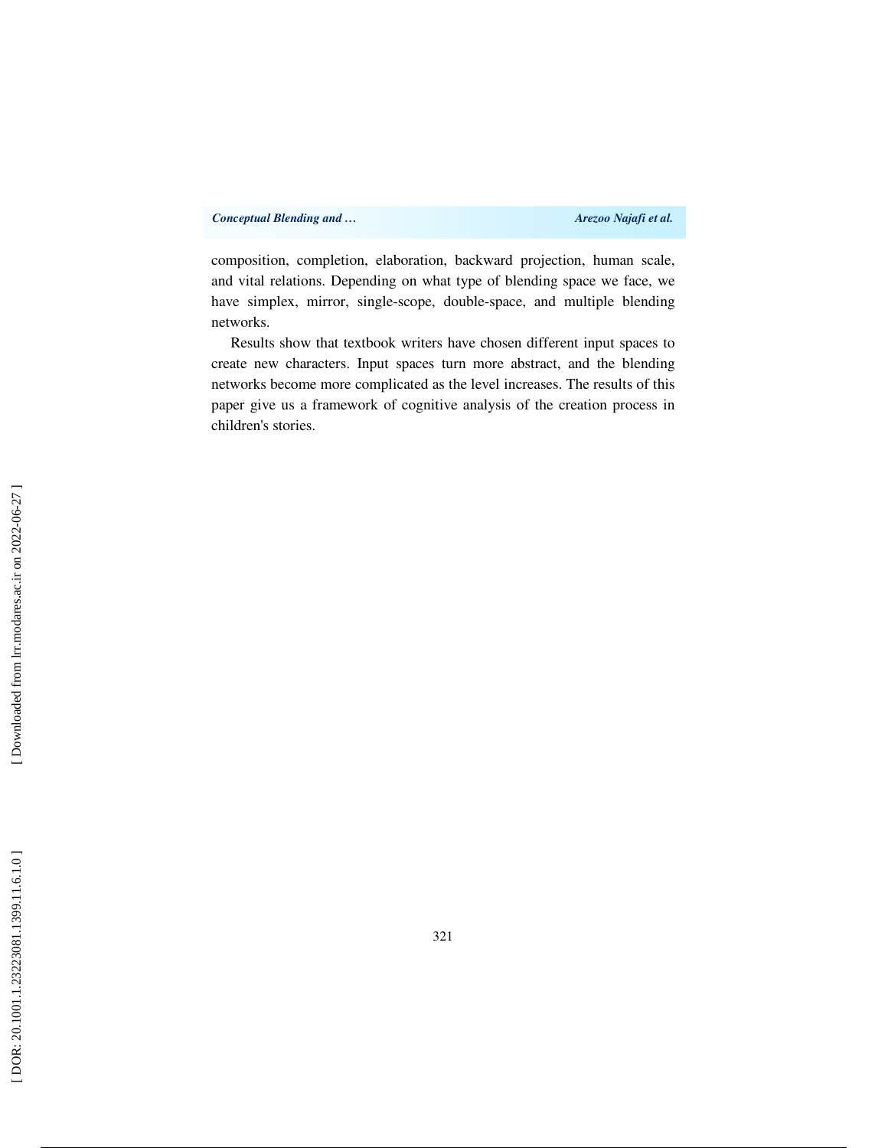composition, completion, elaboration, backward projection, human scale, and vital relations. Depending on what type of blending space we face, we have simplex, mirror, single-scope, double-space, and multiple blending networks.

Results show that textbook writers have chosen different input spaces to create new characters. Input spaces turn more abstract, and the blending networks become more complicated as the level increases. The results of this paper give us a framework of cognitive analysis of the creation process in children's stories.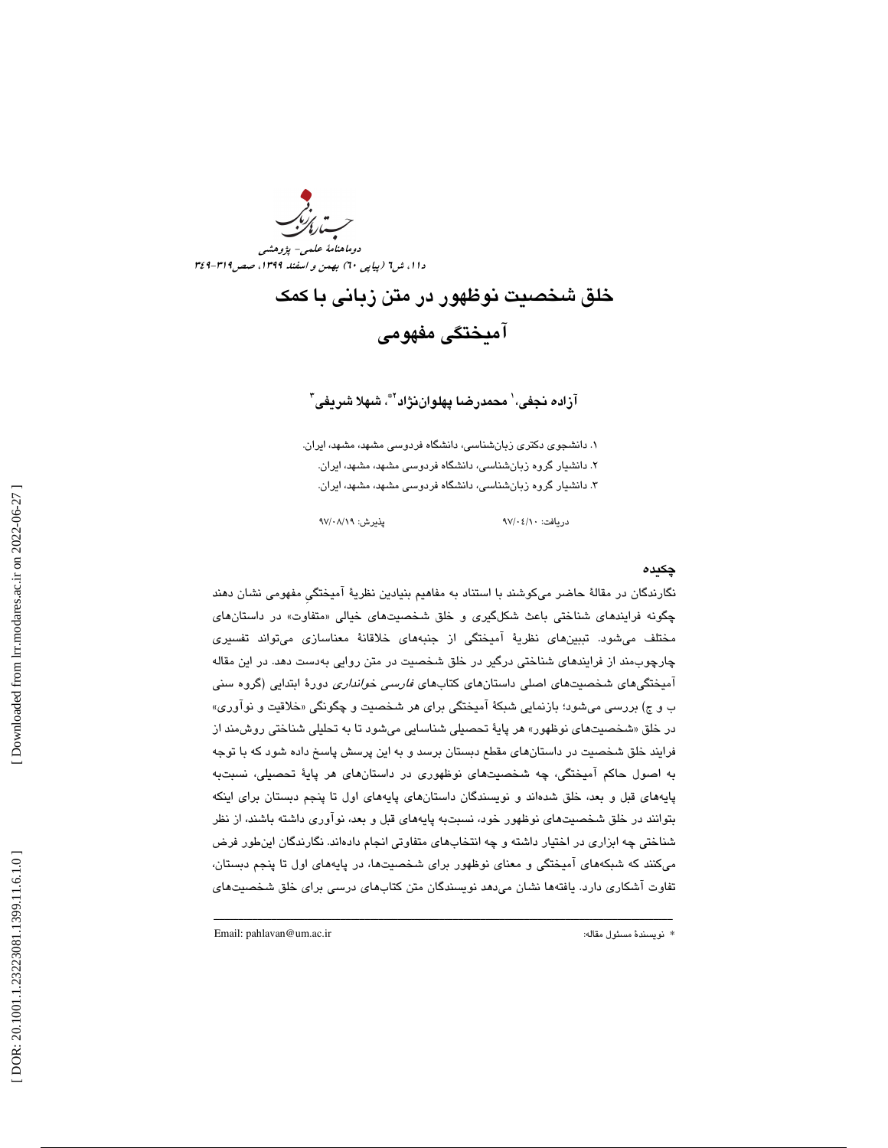دوماهنامة علمي- پژوهشي دا ۱، ش1 (پياپي ٦٠) بهمن و اسفند ١٣٩٩، صص1٦٩ -٢٤٩

# خلق شخصيت نوظهور در متن زباني با كمك آميختگي مفهومي

## آزاده نجفی، ٰ محمدرضـا پهلوانiژاد'\*، شـهلا شـريفی ؑ

. دانشجوي دكتري زبانشناسي، دانشگاه فردوسي مشهد، مشهد، ايران . 1 . 2 دانشيار گروه زبانشناسي، دانشگاه فردوسي مشهد، مشهد، ايران . 3. دانشيار گروه زبانشناسي، دانشگاه فردوسي مشهد، مشهد، ايران .

دريافت: 10/ 04/ 97 پذيرش: 19/ 08/ 97

#### چكيده

نگارندگان در مقالهٔ حاضر ميكوشند با استناد به مفاهيم بنيادين نظريهٔ آميختگي مفهومي نشان دهند چگونه فرايند*ه*ای شناختی باعث شکلگیری و خلق شخصيتهای خيالی «متفاوت» در داستانهای مختلف ميشود. تببينهاي نظرية آميختگي از جنبههاي خلاقانة معناسازي ميتواند تفسيري چارچوبمند از فرايندهاي شناختي درگير در خلق شخصيت در متن روايي بهدست دهد. در اين مقاله امیختگیهای شخصیتهای اصلی داستانهای کتابهای *فارسی خوانداری* دورهٔ ابتدایی (گروه سنی ب و ج) بررسی میشود؛ بازنمایی شبکهٔ امیختگی برای هر شخصیت و چگونگی «خلاقیت و نواوری» در خلق «شخصیتهای نوظهور» هر پایهٔ تحصیلی شناسایی میشود تا به تحلیلی شناختی روش،مند از فرايند خلق شخصيت در داستانهاي مقطع دبستان برسد و به اين پرسش پاسخ د اده شود كه با توجه به اصول حاكم آميختگي، چه شخصيتهاي نوظهوري در داستانهاي هر پاية تحصيلي، نسبتبه پايههاي قبل و بعد، خلق شدهاند و نويسندگان داستانهاي پايههاي اول تا پنجم دبستان براي اينكه بتوانند در خلق شخصيتهاي نوظهور خود، نسبتبه پايههاي قبل و بعد، نوآوري داشته باشند، از نظر شناختي چه ابزاري در اختيار داشته و چه انتخابهاي متفاوتي انجام دادهاند. نگارندگان اينطور فرض م يكنند كه شبكههاي آميختگي و معناي نوظهور براي شخصيتها ، در پايههاي اول تا پنجم دبستان، تفاوت آشكاري دارد. يافتهها نشان ميدهد نويسندگان متن كتابهاي درسي براي خلق شخصيتهاي

ـــــــــــــــــــــــــــــــــــــــــــــــــــــــــــــــــــــــــــــــــــــــــــــــــــــــــــــــــــــــــــــــــــــــــــــــــــــــــــــــــــــــ

Email: pahlavan@um.ac.ir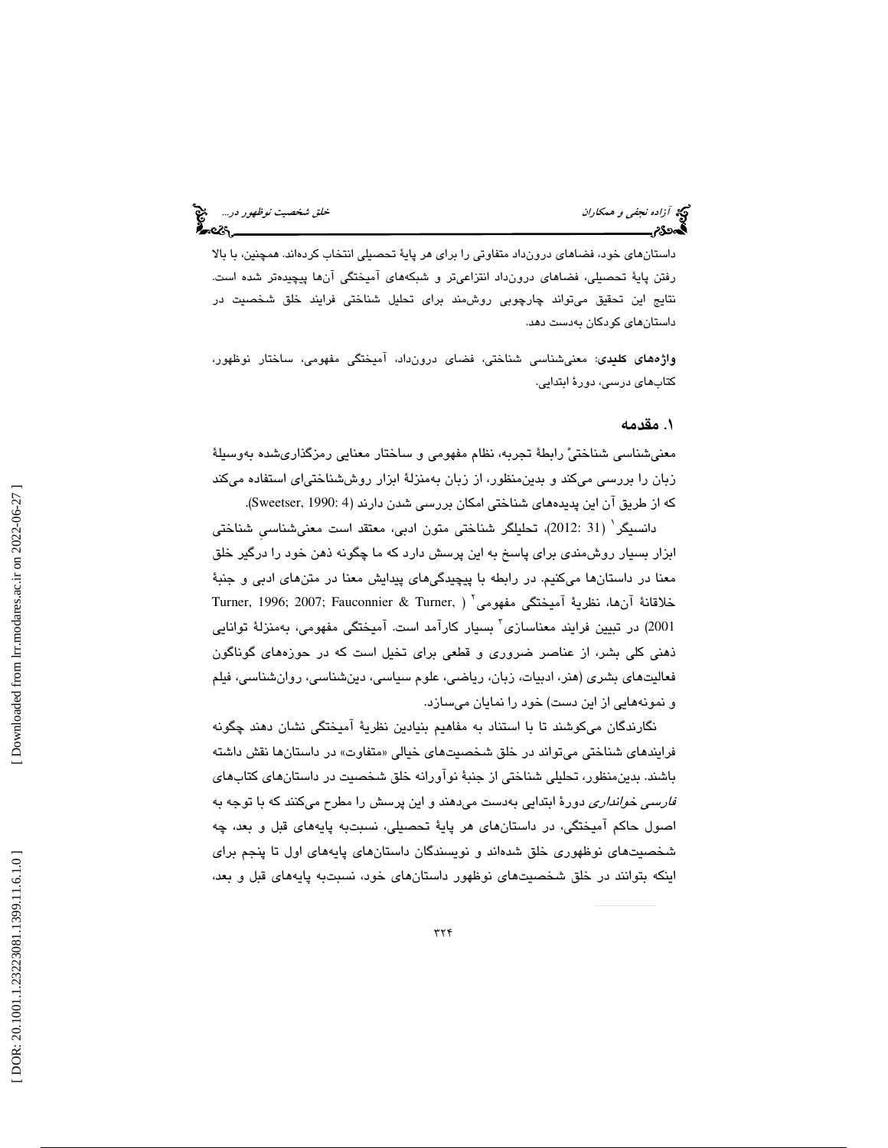داستانهاي خود، فضاهاي درونداد متفاوتي را براي هر پاية تحصيلي انتخاب كردهاند. همچنين ، با بالا رفتن پاية تحصيلي، فضاهاي درونداد انتزاعيتر و شبكههاي آميختگي آنها پيچيدهتر شده است. نتايج اين تحقيق ميتواند چارچوبي روشمند براي تحليل شناختي فرايند خلق شخصيت در داستانهاي كودكان بهدست دهد.

**واژههای کلیدی**: معنیشناسی شناختی، فضای درونداد، آمیختگی مفهومی، ساختار نوظهور، كتابهاي درسي، دور ة ابتدايي.

#### 1. مقدمه

معنيشناسي شناختيْ رابطهٔ تجربه، نظام مفهومي و ساختار معنايي رمزگذاريشده بهوسيلهٔ زبان را بررسي مي كند و بدينمنظور، از زبان بهمنزلة ابزار روششناختي اي استفاده ميكند كه از طريق آن اين پديدههاي شناختي امكان بررسي شدن دارند (4 :Sweetser, 1990).

دانسيگر` (31 :2012)، تحليلگر شناختي متون ادبي، معتقد است معنيشناسي شناختي ابزار بسيار روشمندي براي پاسخ به اين پرسش دارد كه ما چگونه ذهن خود را درگير خلق معنا در داستانها ميكنيم. در رابطه با پيچيدگيهاي پيدايش معنا در متنهاي ادبي و جنبة خلاقانة آنها، نظرية آميختگي مفهومي 2 Turner, 1996; 2007; Fauconnier & Turner, ) 2001) در تبيين فرايند معناسازي<sup>٬</sup> بسيار كارآمد است. آميختگي مفهومي، بهمنزلهٔ توانايي ذهني كلي بشر، از عناصر ضروري و قطعي براي تخيل است كه در حوزههاي گوناگون فعاليتهاي بشري (هنر، ادبيات، زبان، رياضي، علوم سياسي، دينشناسي، رو انشناسي، فيلم و نمونههايي از اين دست) خود را نمايان ميسازد.

نگارندگان ميكوشند تا با استناد به مفاهيم بنيادين نظرية آميختگي نشان دهند چگونه فرايندهاي شناختي ميتواند در خلق شخصيتهاي خيالي «متفاوت» در داستانها نقش داشته باشند. بدينمنظور، تحليلي شناختي از جنبة نوآورانه خلق شخصيت در داستانهاي كتابهاي *فارسي خوانداری* دورهٔ ابتدايي بهدست میدهند و اين پرسش را مطرح میكنند كه با توجه به اصول حاكم آميختگي، در داستانهاي هر پاية تحصيلي، نسبتبه پايههاي قبل و بعد، چه شخصيتهاي نوظهوري خلق شدهاند و نويسندگان داستانهاي پايههاي اول تا پنجم براي اینکه بتوانند در خلق شخصیتهای نوظهور داستانهای خود، نسبتبه پایههای قبل و بعد،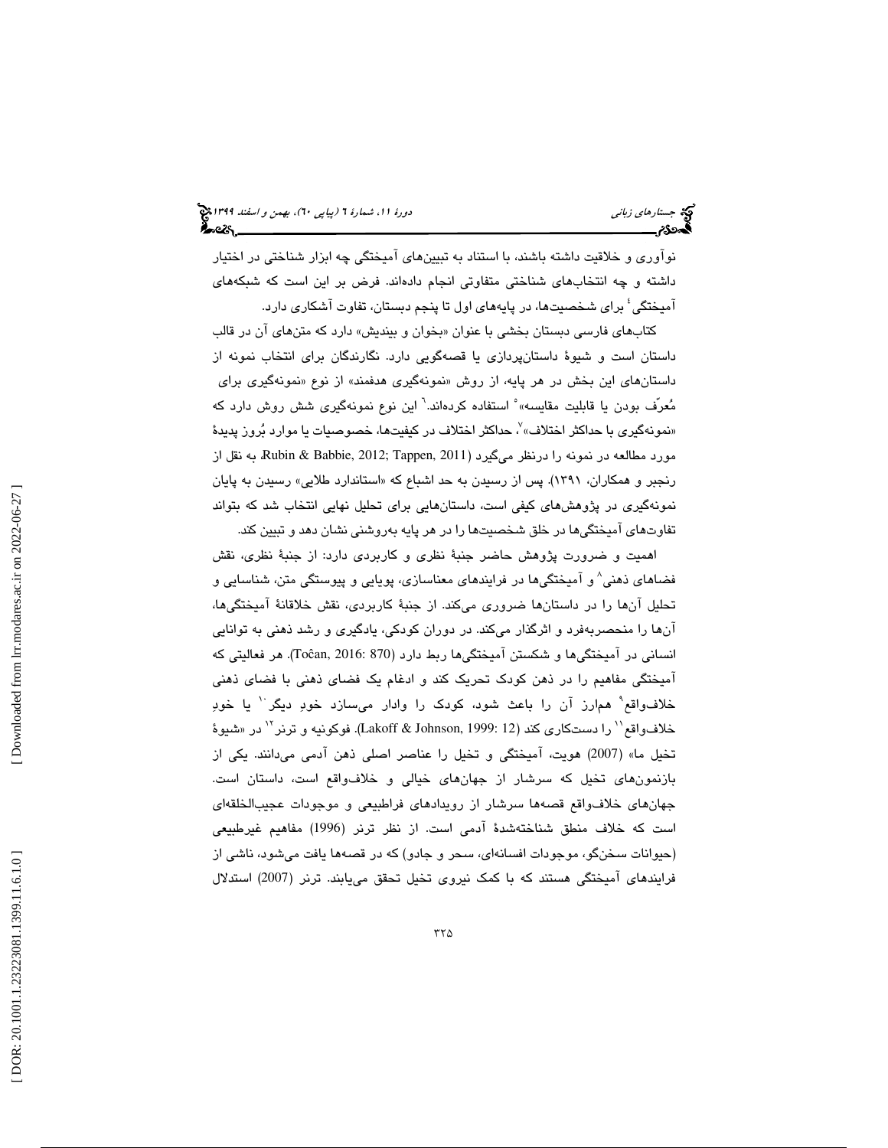نوآوري و خلاقيت داشته باشند، با استناد به تبيينهاي آميختگي چه ابزار شناختي در اختيار داشته و چه انتخابهاي شناختي متفاوتي انجام دادهاند. فرض بر اين است كه شبكههاي آميختگي 4 براي شخصيتها، در پايههاي اول تا پنجم دبستان، تفاوت آشكاري دارد.

كتابهاي فارسي دبستان بخشي با عنوان «بخوان و بينديش» دارد كه متنهاي ان در قالب داستان است و شيوة داستانپردازي يا قصهگويي دارد. نگارندگان براي انتخاب نمونه از نمونهگيري هدفمند» از نوع «نمونهگيري براي داستانهای این بخش در هر پایه، از روش «نمونهگیری هدفمند» از نوع «نمونهگیری برای<br>مُعرّف بودن یا قابلیت مقایسه» ْ استفاده کردهاند.<sup>٦</sup> این نوع نمونهگیری شش روش دارد که «نمونهگیری با حداکثر اختلاف» ؒ، حداکثر اختلاف در کیفیتها، خصوصیات یا موارد بُروز پدیدهٔ مورد مطالعه در نمونه را درنظر ميگيرد (2011 ,Rubin & Babbie, 2012 به نقل از رنجبر و همکاران، ۱۳۹۱). پس از رسیدن به حد اشباع که «استاندارد طلایی» رسیدن به پایان نمونهگيري در پژوهشهاي كيفي است، داستانهايي براي تحليل نهايي انتخاب شد كه بتواند تفاوتهاي آميختگيها در خلق شخصيتها را در هر پايه بهروشني نشان دهد و تبيين كند.

اهميت و ضرورت پژوهش حاضر جنبة نظري و كاربردي دارد: از جنبة نظري، نقش فضاهاي ذهني 8 و آميختگيها در فرايندهاي معناسازي، پويايي و پيوستگي متن، شناسايي و تحليل آنها را در داستانها ضروري ميكند. از جنبة كاربردي، نقش خلاقانة آميختگيها، آنها را منحصربهفرد و اثرگذار ميكند. در دوران كودكي، يادگيري و رشد ذهني به توانايي انسانی در آمیختگی۵ا و شکستن آمیختگی۵ا ربط دارد (Toĉan, 2016: 870). هر فعالیتی که امیختگی مفاهیم را در ذهن كودک تحریک کند و ادغام یک فضای ذهنی با فضای ذهنی خلاف واقع ْ همارز آن را باعث شود، كودك را وادار مىسازد خودِ ديگر ْ يا خودِ خلاف1واقع'' را دستكاري كند (Lakoff & Johnson, 1999: 12). فوكونيه و ترنر <sup>١٢</sup> در «شيوهٔ تخيل ما» (2007) هويت، آميختگي و تخيل را عناصر اصلي ذهن آدمي ميدانند. يكي از بازنمونهاي تخيل كه سرشار از جهانهاي خيالي و خلافواقع است، داستان است. جهانهاي خلافواقع قصهها سرشار از رويدادهاي فراطبيعي و موجودات عجيبالخلقهاي است كه خلاف منطق شناختهشدة آدمي است. از نظر ترنر ( 1996) مفاهيم غيرطبيعي (حيوانات سخنگو، موجودات افسانهاي، سحر و جادو) كه در قصهها يافت ميشود، ناشي از فرایندهای آمیختگی هستند که با کمک نیروی تخیل تحقق می یابند. ترنر (2007) استدلال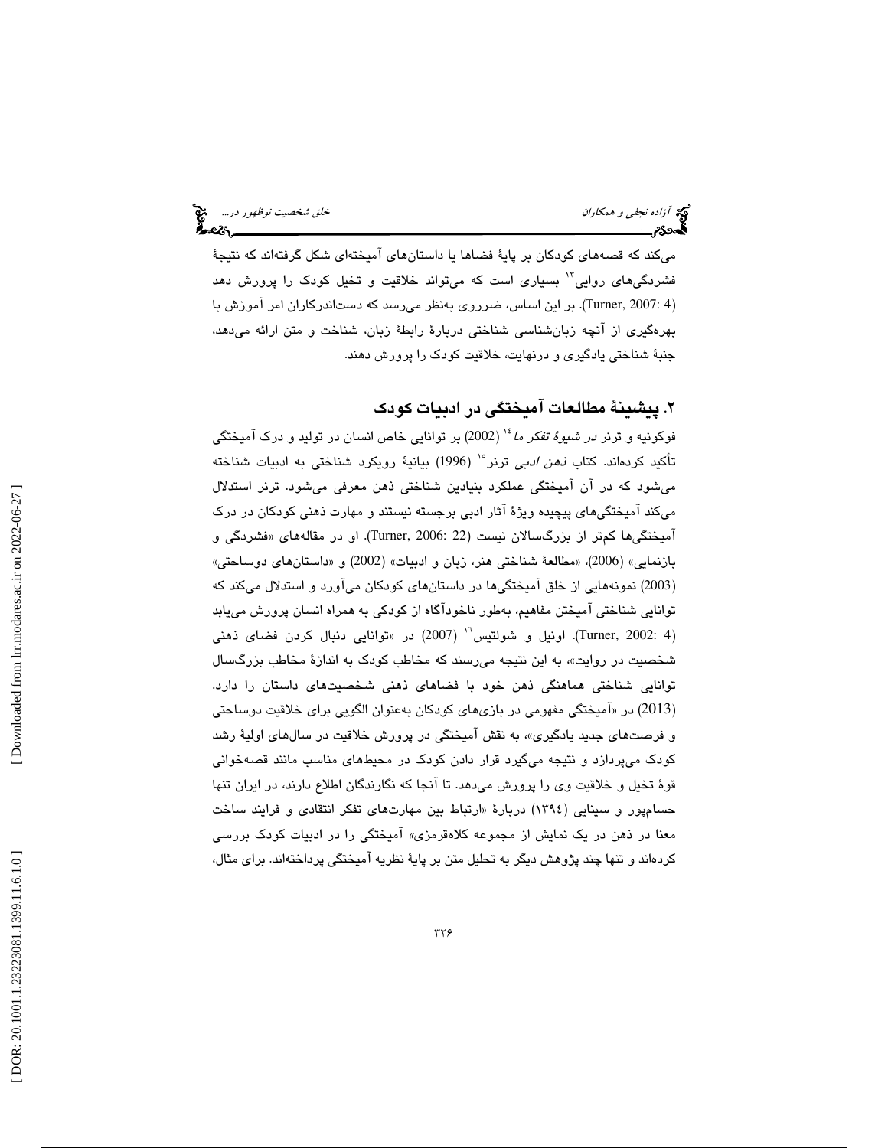ميكند كه قصههاي كودكان بر پاية فضاها يا داستانهاي آميختهاي شكل گرفتهاند كه نتيجة فشردگیهای روایی<sup>۱۲</sup> بسیاری است که میتواند خلاقیت و تخیل کودک را پرورش دهد (Turner, 2007: 4). بر این اساس، ضرروی بهنظر میرسد که دستاندرکاران امر آموزش با بهرهگيري از آنچه زبانشناسي شناختي دربارة رابطة زبان، شناخت و متن ارائه ميدهد، جنبة شناختي يادگيري و درنهايت، خلاقيت كودك را پرورش دهند.

. پيشينة مطالعات آميختگي در ادبيات كودك 2

فوكونيه و ترنر *در شيوهٔ تفكر ما* '' (2002) بر توانايي خاص انسان در توليد و درک آميختگي تأكيد كردهاند. كتاب *نـهن ادبي* ترنر<sup>ه\</sup> (1996) بيانيهٔ رويكرد شناختى به ادبيات شناخته ميشود كه در آن آميختگي عملكرد بنيادين شناختي ذهن معرفي ميشود. ترنر استدلال ميكند آميختگيهاي پيچيده ويژة آثار ادبي برجسته نيستند و مهارت ذهني كودكان در درك آميختگيها كم¤ر از بزرگسالان نيست (22 :Turner, 2006). او در مقالههاي «فشردگي و بازنمايي» (2006)، «مطالعةً شناختي هنر، زبان و ادبيات» (2002) و «داستانهاي دوساحتي» 2003) نمونههايي از خلق آميختگيها در داستانهاي كودكان ميآورد و استدلال ميكند كه ) توانايي شناختي آميختن مفاهيم، بهطور ناخودآگاه از كودكي به همراه انسان پرورش مييابد (Turner, 2002: 4). اونيل و شولتيس<sup>١٠</sup> (2007) در «توانايي دنبال كردن فضاي ذهني شخصيت در روايت»، به اين نتيجه مىرسند كه مخاطب كودک به اندازهٔ مخاطب بزرگسال توانايي شناختي هماهنگي ذهن خود با فضاهاي ذهني شخصيتهاي داستان را دارد. آميختگي مفهومي در بازيهاي كودكان بهعنوان الگويي براي خلاقيت دوساحتي 2013) در « ) و فرصتها*ی* جدید یادگیری»، به نقش امیختگی در پرورش خلاقیت در سالهای اولیهٔ رشد كودك ميپردازد و نتيجه ميگيرد قرار دادن كودك در محيطهاي مناسب مانند قصهخواني قوة تخيل و خلاقيت وي را پرورش ميدهد. تا آنجا كه نگارندگان اطلاع دارند، در ايران تنها حسامپور و سينايي (١٣٩٤) دربارهٔ «ارتباط بين مهارتهاي تفكر انتقادي و فرايند ساخت معنا در ذهن در يک نمايش از مجموعه کلاهقرمزی*»* اميختگي را در ادبيات کودک بررسي كردهاند و تنها چند پژوهش ديگر به تحليل متن بر پاية نظريه آميختگي پرداختهاند. براي مثال،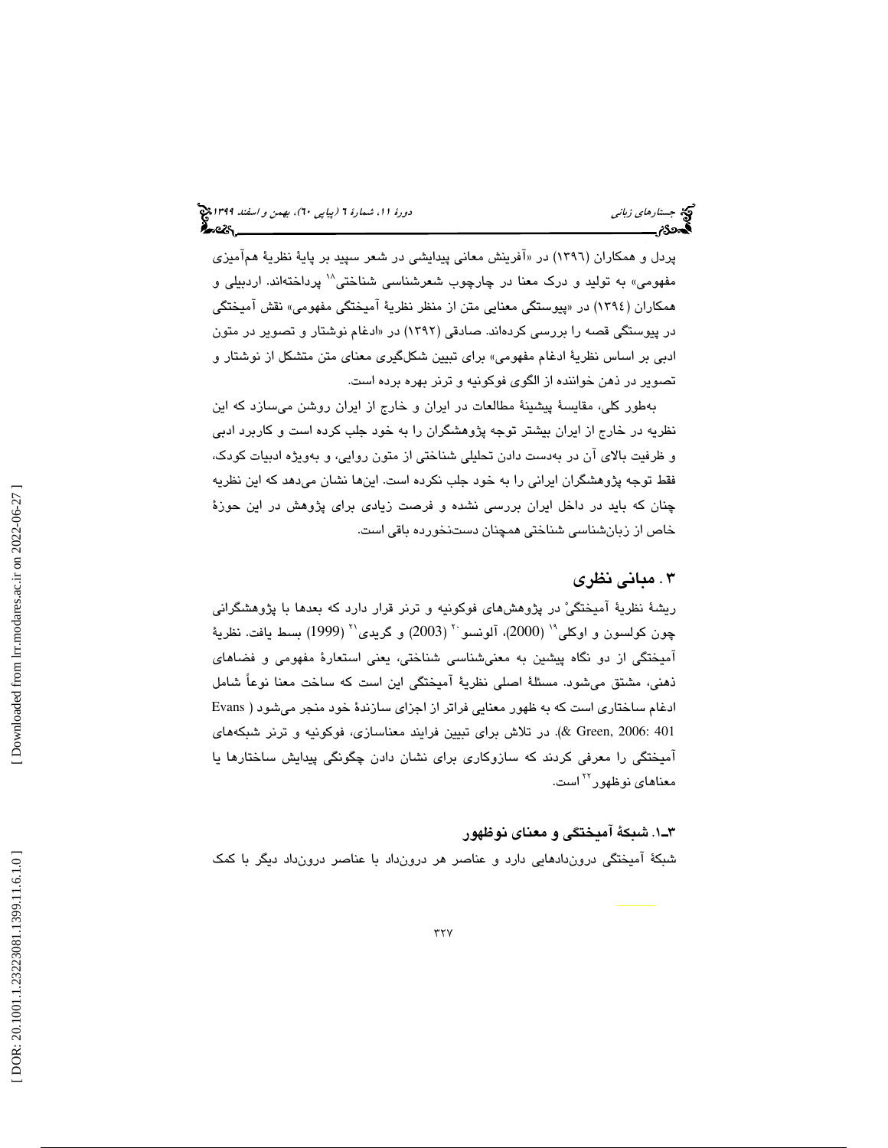پردل و همکاران (١٣٩٦) در «افرينش معاني پيدايشي در شعر سپيد بر پايهٔ نظريهٔ هم۱ميزي مفهومي» به توليد و درک معنا در چارچوب شعرشناسي شناختي<sup>۱۸</sup> پرداختهاند. اردبيلي و همکاران (١٣٩٤) در «پيوستگي معنايي متن از منظر نظريهٔ اميختگي مفهومي» نقش اميختگي در پیوستگی قصه را بررسی کردهاند. صادقی (۱۳۹۲) در «ادغام نوشتار و تصویر در متون ادبي بر اساس نظرية ادغام مفهومي» براي تبيين شكلگيري معناي متن متشكل از نوشتار و تصوير در ذهن خواننده از الگوي فوكونيه و ترنر بهره برده است.

 بهطور كلي، مقايسة پيشينة مطالعات در ايران و خارج از ايران روشن ميسازد كه اين نظريه در خارج از ايران بيشتر توجه پژوهشگران را به خود جلب كرده است و كاربرد ادبي و ظرفيت بالاي آن در بهدست دادن تحليلي شناختي از متون روايي، و بهويژه ادبيات كودك، فقط توجه پژوهشگران ايراني را به خود جلب نكرده است. اينها نشان ميدهد كه اين نظريه چنان كه بايد در داخل ايران بررسي نشده و فرصت زيادي براي پژوهش در اين حوزة خاص از زبانشناسي شناختي همچنان دستنخورده باقي است.

### 3 . مباني نظري

ريشة نظرية آميختگي در پژوهشهاي فوكونيه و ترنر قرار دارد كه بعدها با پژوهشگراني چون كولسون و اوكلي" (2000)، آلونسو `` (2003) و گريدي'` (1999) بسط يافت. نظريهٔ آميختگي از دو نگاه پيشين به معنيشناسي شناختي، يعني استعارة مفهومي و فضاهاي ذهني، مشتق ميشود. مسئلة اصلي نظرية آميختگي اين است كه ساخت معنا نوعاً شامل ادغام ساختاري است كه به ظهور معنايي فراتر از اجزاي سازندة خود منجر ميشود ( Evans 401 2006: ,Green(& . در تلاش براي تبيين فرايند معناسازي، فوكونيه و ترنر شبكههاي آميختگي را معرفي كردند كه سازوكاري براي نشان دادن چگونگي پيدايش ساختارها يا معناها*ی* نوظهور<sup>۲۲</sup> است.

#### 1ـ3 . شبكة آميختگي و معناي نوظهور

شبكة آميختگي دروندادهايي دارد و عناصر هر درونداد با عناصر درونداد ديگر با كمك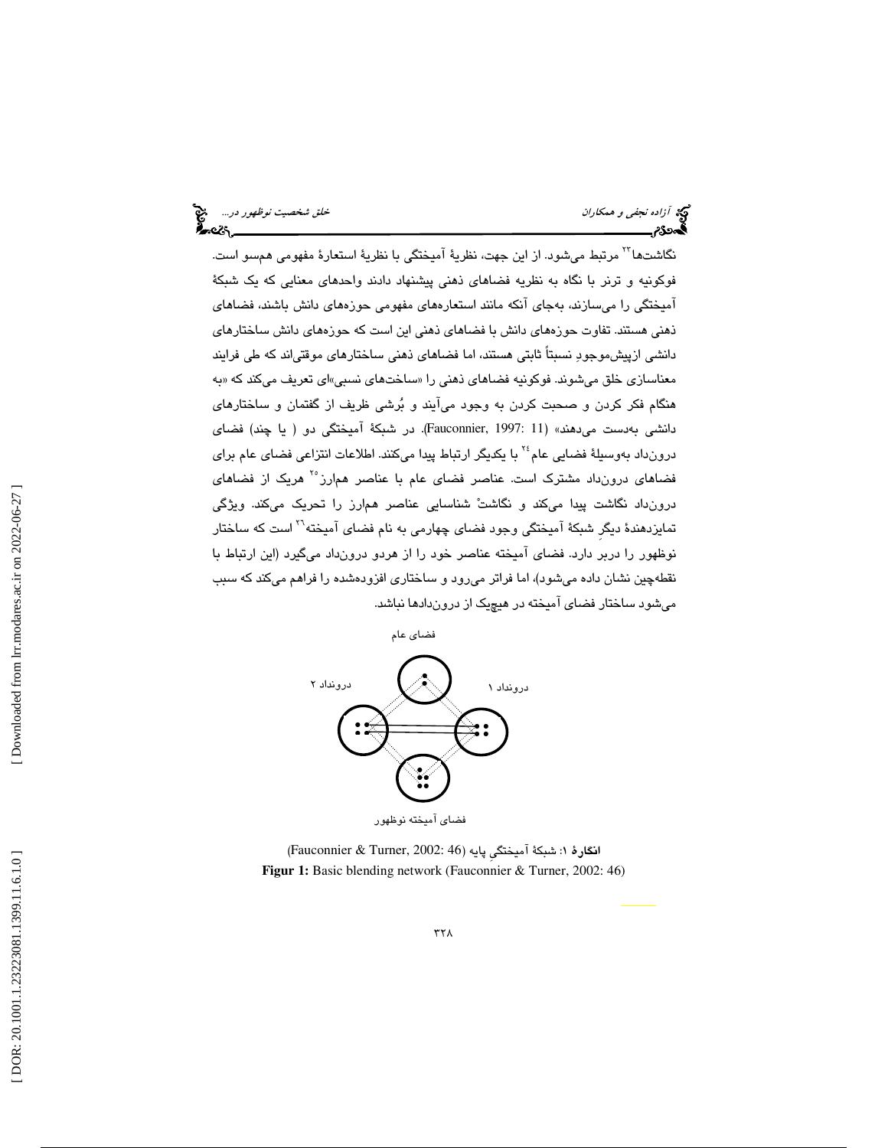نگاشتها<sup>۲۲</sup> مرتبط میشود. از این جهت، نظریهٔ آمیختگی با نظریهٔ استعارهٔ مفهومی همسو است. فوكونيه و ترنر با نگاه به نظريه فضاهاي ذهني پيشنهاد دادند واحدهاي معنايي كه يك شبكة آميختگي را ميسازند، بهجاي آنكه مانند استعارههاي مفهومي حوزههاي دانش باشند، فضاهاي ذهني هستند. تفاوت حوزههاي دانش با فضاهاي ذهني اين است كه حوزههاي دانش ساختارهاي دانشي ازپيشموجود نسبتاً ثابتي هستند، اما فضاهاي ذهني ساختارهاي موقتياند كه طي فرايند معناسازي خلق ميشوند. فوكونيه فضاهاي ذهني را «ساختهاي نسبي»اي تعريف ميكند كه «به هنگام فكر كردن و صحبت كردن به وجود ميآيند و برشي ظريف از گفتمان و ساختارهاي دانشي بهدست ميدهند» (11 1997: ,Fauconnier(. در شبكة آميختگي دو ( يا چند) فضاي درونداد بهوسيلهٔ فضايي عام<sup>٢٤</sup> با يكديگر ارتباط پيدا ميكنند. اطلاعات انتزاعي فضاي عام براي فضاهای درونداد مشترک است. عناصر فضای عام با عناصر همارز°<sup>۲</sup> هریک از فضاهای درونداد نگاشت پيدا ميكند و نگاشت شناسايي عناصر همارز را تحريك ميكند. ويژگي تمايزدهندهٔ ديگر شبكهٔ آميختگي وجود فضاي چهارمي به نام فضاي آميخته<sup>71</sup> است كه ساختار نوظهور را دربر دارد. فضاي آميخته عناصر خود را از هردو درونداد ميگيرد (اين ارتباط با نقطهچين نشان داده ميشود)، اما فراتر ميرود و ساختاري افزودهشده را فراهم ميكند كه سبب ميشود ساختار فضاي آميخته در هيچيك از دروندادها نباشد.



انگارهٔ ۱: شبكهٔ آمیختگی پایه (46 :Fauconnier & Turner, 2002) **Figur 1:** Basic blending network (Fauconnier & Turner, 2002: 46)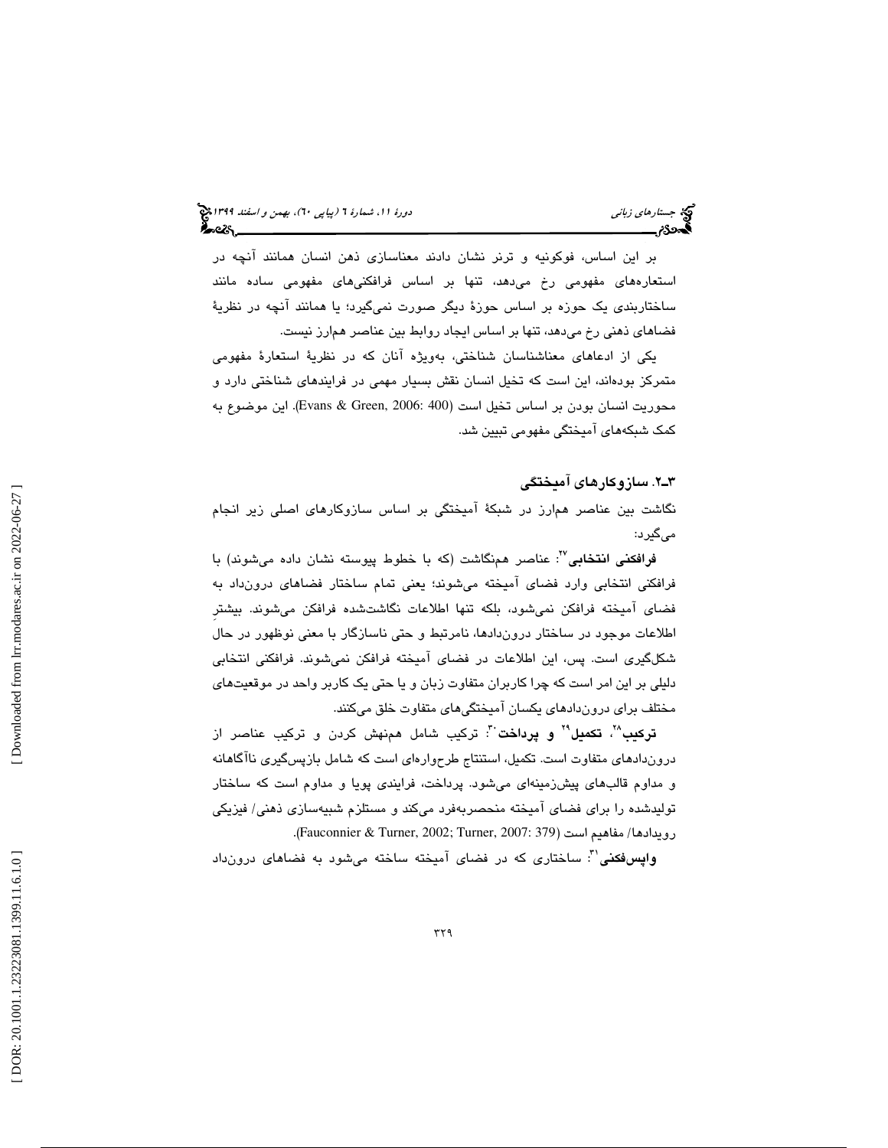بر اين اساس، فوكونيه و ترنر نشان دادند معناسازي ذهن انسان همانند آنچه در استعارههاي مفهومي رخ ميدهد، تنها بر اساس فرافكنيهاي مفهومي ساده مانند ساختاربندي يك حوزه بر اساس حوزة ديگر صورت نميگيرد؛ يا همانند آنچه در نظرية فضاهاي ذهني رخ ميدهد، تنها بر اساس ايجاد روابط بين عناصر همارز نيست.

يكي از ادعاهاي معناشناسان شناختي، بهويژه آنان كه در نظرية استعارة مفهومي متمركز بودهاند، اين است كه تخيل انسان نقش بسيار مهمي در فرايندهاي شناختي دارد و محوريت انسان بودن بر اساس تخيل است (400 2006: ,Green & Evans(. اين موضوع به كمك شبكههاي آميختگي مفهومي تبيين شد.

#### 2ـ3 . سازوكارهاي آميختگي

نگاشت بين عناصر همارز در شبكة آميختگي بر اساس سازوكارهاي اصلي زير انجام ميگيرد:

ف**رافكنی انتخابی<sup>70</sup>: عنا**صر همنگاشت (كه با خطوط پیوسته نشان داده میشوند) با فرافكني انتخابي وارد فضاي آميخته ميشوند؛ يعني تمام ساختار فضاهاي درونداد به فضاي آميخته فرافكن نميشود، بلكه تنها اطلاعات نگاشتشده فرافكن ميشوند. بيشترِ اطلاعات موجود در ساختار دروندادها، نامرتبط و حتي ناسازگار با معني نوظهور در حال شكلگيري است. پس، اين اطلاعات در فضاي آميخته فرافكن نميشوند. فرافكني انتخابي دليلي بر اين امر است كه چرا كاربران متفاوت زبان و يا حتي يك كاربر واحد در موقعيتهاي مختلف براي دروندادهاي يكسان آميختگيهاي متفاوت خلق ميكنند.

**تركيب**"، **تكميل" و پرداخت** ": تركيب شامل همنهش كردن و تركيب عناصر از دروندادهاي متفاوت است. تكميل، استنتاج طرحوارهاي است كه شامل بازپسگيري ناآگاهانه و مداوم قال بهاي پيشزمينهاي ميشود. پرداخت، فرايندي پويا و مداوم است كه ساختار توليدشده را براي فضاي آميخته منحصربهفرد ميكند و مستلزم شبيهسازي ذهني/ فيزيكي رويدادها/ مفاهيم است (379 :Fauconnier & Turner, 2002; Turner, 2007).

**واپسفكنی**": ساختاری كه در فضای آمیخته ساخته میشود به فضاهای درونداد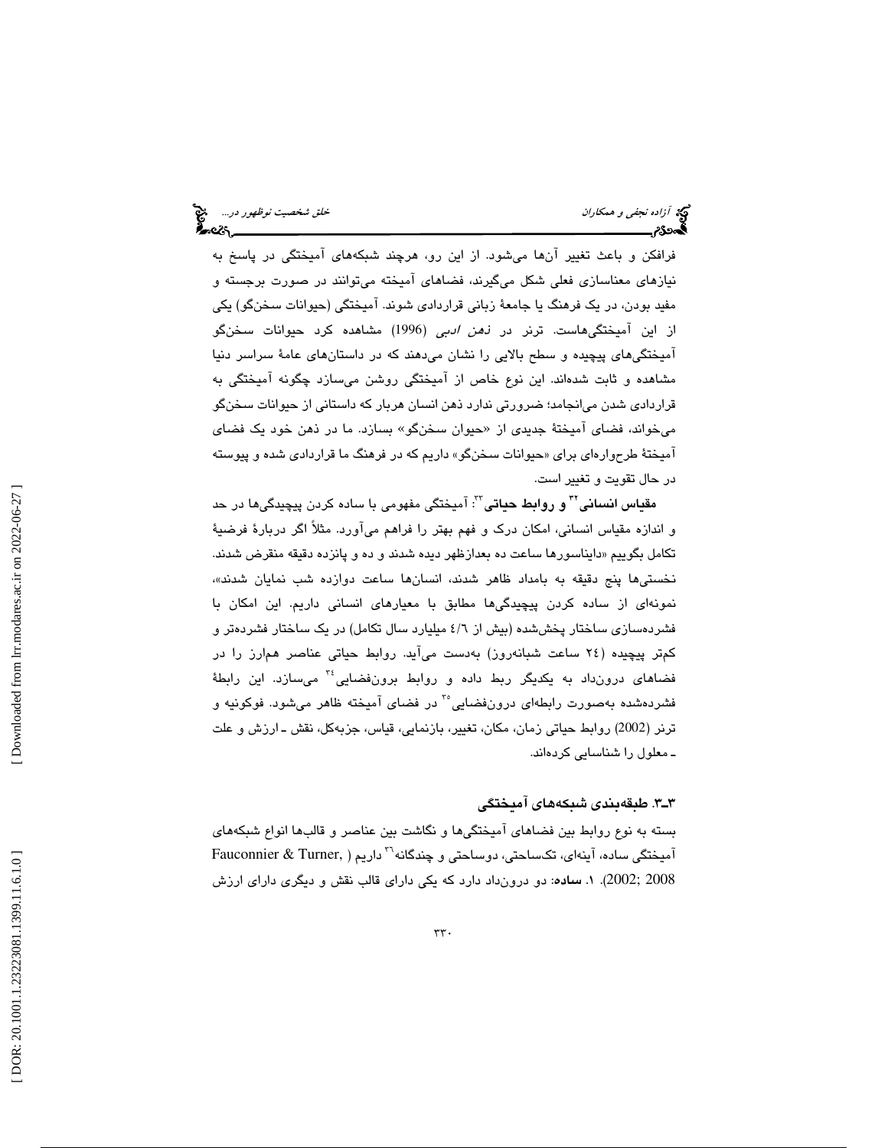فرافكن و باعث تغيير آنها ميشود. از اين رو، هرچند شبكههاي آميختگي در پاسخ به نيازهاي معناسازي فعلي شكل ميگيرند، فضاهاي آميخته ميتوانند در صورت برجسته و مفيد بودن، در يك فرهنگ يا جامعة زباني قراردادي شوند. آميختگي (حيوانات سخنگو) يكي از اين آميختگيهاست. ترنر در ذهن ادبي ( 1996) مشاهده كرد حيوانات سخنگو آميختگيهاي پيچيده و سطح بالايي را نشان ميدهند كه در داستانهاي عامة سراسر دنيا مشاهده و ثابت شدهاند. اين نوع خاص از آميختگي روشن ميسازد چگونه آميختگي به قراردادی شدن میانجامد؛ ضرورتی ندارد ذهن انسان هربار که داستانی از حیوانات سخنگو میخواند، فضای آمیختهٔ جدیدی از «حیوان سخنگو» بسازد. ما در ذهن خود یک فضای اميختهٔ طرحوارهاي براي «حيوانات سخنگو» داريم كه در فرهنگ ما قراردادي شده و پيوسته در حال تقويت و تغيير است.

م<mark>قیاس انسانی" و روابط حیاتی": آمیختگی مفهومی با ساده کردن پیچیدگی،ها در حد</mark> و اندازه مقياس انساني، امكان درك و فهم بهتر را فراهم ميآورد. مثلاً اگر دربارة فرضية تكامل بگوييم «دايناسورها ساعت ده بعدازظهر ديده شدند و ده و پانزده دقيقه منقرض شدند. نخستيها پنج دقيقه به بامداد ظاهر شدند، انسانها ساعت دوازده شب نمايان شدند ، » نمونهاي از ساده كردن پيچيدگيها مطابق با معيارهاي انساني داريم. اين امكان با فشردهسازي ساختار پخششده (بيش از 6/4 ميليارد سال تكامل) در يك ساختار فشردهتر و كمتر پيچيده ( 24 ساعت شبانهروز) بهدست ميآيد. روابط حياتي عناصر همارز را در فضاهای درونداد به يکديگر ربط داده و روابط برونفضايي<sup>،۳</sup> میسازد. اين رابطهٔ فشردهشده بهصورت رابطهاي درونفضايي<sup>5</sup> در فضاي آميخته ظاهر ميشود. فوكونيه و ترنر (2002) روابط حياتي زمان، مكان، تغيير، بازنمايي، قياس، جزبهكل، نقش ـ ارزش و علت ـ معلول را شناسايي كردهاند.

#### 3.ـ3 طبقهبندي شبكههاي آميختگي

بسته به نوع روابط بين فضاهاي آميختگيها و نگاشت بين عناصر و قالبها انواع شبكههاي داريم ( ,Turner & Fauconnier <sup>36</sup> آميختگي ساده، آينهاي، تكساحتي، دوساحتي و چندگانه 2008 ;2002). 1 . ساده: دو درونداد دارد كه يكي داراي قالب نقش و ديگري داراي ارزش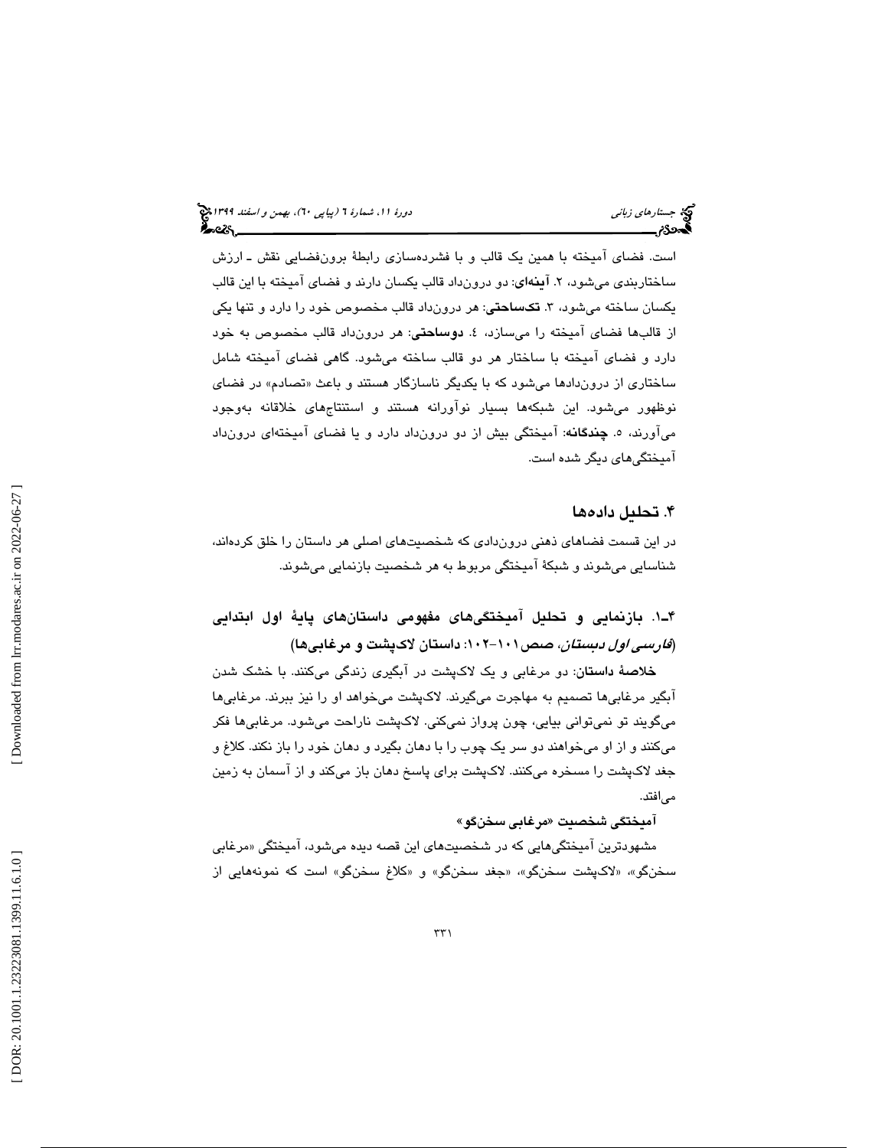است. فضاي آميخته با همين يک قالب و با فشردهسازي رابطهٔ برونفضايي نقش ـ ارزش ساختاربندي مي شود، ۲. آ**ينهاي**: دو درونداد قالب يكسان دارند و فضاي آميخته با اين قالب يكسان ساخته ميشود، ٣. **تكساحتي**: هر درونداد قالب مخصوص خود را دارد و تنها يكي از قالبها فضای آمیخته را میسازد، ٤. **دوساحتی**: هر درونداد قالب مخصوص به خود دارد و فضاي آميخته با ساختار هر دو قالب ساخته ميشود. گاهي فضاي آميخته شامل ساختاری از دروندادها میشود که با یکدیگر ناسازگار هستند و باعث «تصادم» در فضای نوظهور ميشود. اين شبكهها بسيار نوآورانه هستند و استنتاجهاي خلاقانه بهوجود میآورند، ۰. **چندگان**ه: آمیختگی بیش از دو درونداد دارد و یا فضای آمیختهای درونداد آميختگيهاي ديگر شده است .

## . تحليل داده ها 4

در اين قسمت فضاهاي ذهني دروندادي كه شخصيتهاي اصلي هر داستان را خلق كردهاند، شناسايي ميشوند و شبكة آميختگي مربوط به هر شخصيت بازنمايي ميشوند.

# 1ـ4 . بازنمايي و تحليل آميختگيهاي مفهومي داستانهاي پاية اول ابتدايي (*فارسی اول دبستان*، صص۱۰۱–۱۰۲: داستان لاکپشت و مرغابیها)

خلاصة داستان: دو مرغابي و يك لاكپشت در آبگيري زندگي ميكنند. با خشك شدن آبگير مرغابيها تصميم به مهاجرت ميگيرند. لاكپشت ميخواهد او را نيز ببرند. مرغابيها ميگويند تو نميتواني بيايي، چون پرواز نميكني. لاكپشت ناراحت ميشود. مرغابيها فكر ميكنند و از او ميخواهند دو سر يك چوب را با دهان بگيرد و دهان خود را باز نكند. كلاغ و جغد لاكپشت را مسخره ميكنند. لاكپشت براي پاسخ دهان باز ميكند و از آسمان به زمين ميافتد.

#### آميختگي شخصيت «مرغابي سخنگو»

مشهودترين اميختگيهايي كه در شخصيتهاي اين قصه ديده ميشود، اميختگي «مرغابي سخنگو»، «لاكپشت سخنگو»، «جغد سخنگو» و «كلاغ سخنگو» است كه نمونههايي از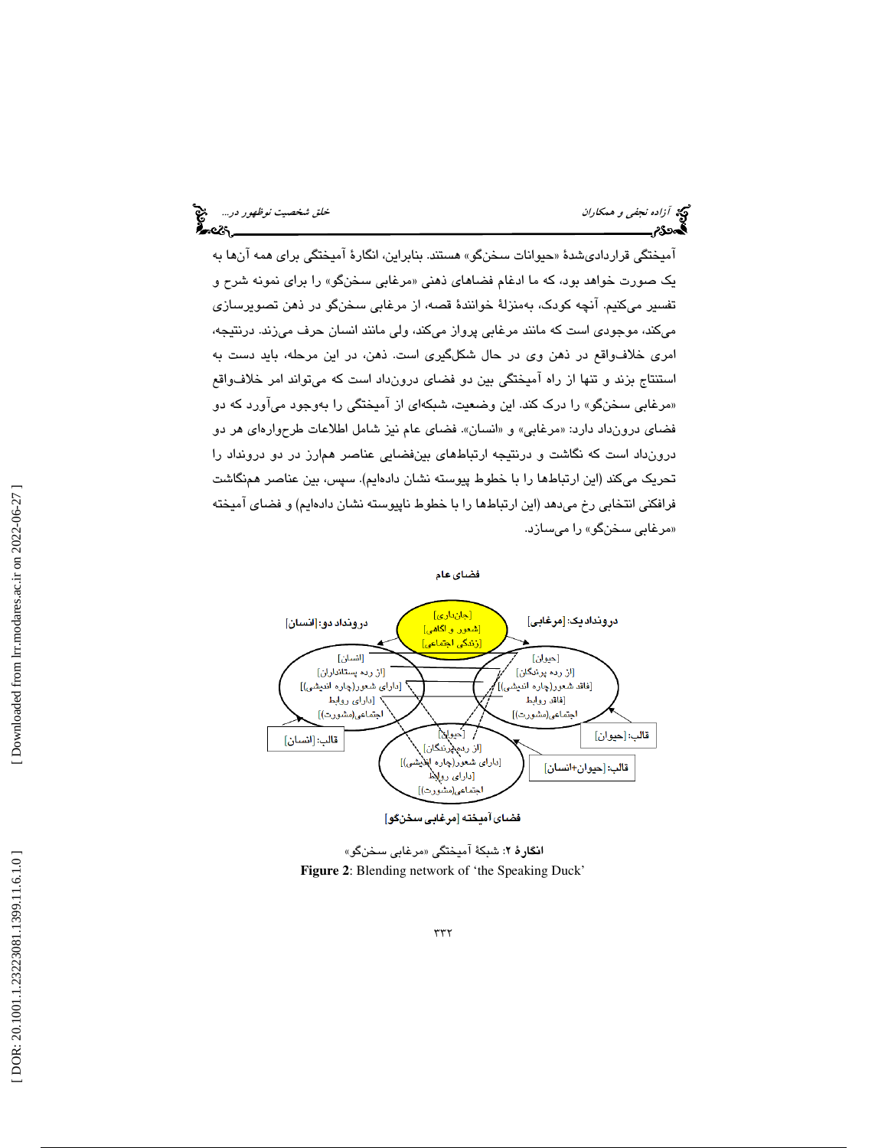امیختگی قراردادیشدهٔ «حیوانات سخنگو» هستند. بنابراین، انگارهٔ امیختگی برای همه انها به یک صورت خواهد بود، که ما ادغام فضا*های* ذهنی «مرغابی سخنگو» را برای نمونه شرح و تفسير ميكنيم. آنچه كودك، بهمنزلة خوانندة قصه، از مرغابي سخنگو در ذهن تصويرسازي ميكند، موجودي است كه مانند مرغابي پرواز ميكند، ولي مانند انسان حرف ميزند. درنتيجه، امري خلافواقع در ذهن وي در حال شكلگيري است. ذهن، در اين مرحله، بايد دست به استنتاج بزند و تنها از راه آميختگي بين دو فضاي درونداد است كه ميتواند امر خلافواقع «مرغابي سخنگو» را درک کند. اين وضعيت، شبکهاي از اميختگي را بهوجود مياورد که دو فضاي درونداد دارد: «مرغابي» و «انسان». فضاي عام نيز شامل اطلاعات طرحوارهاي هر دو درونداد است كه نگاشت و درنتيجه ارتباطهاي بينفضايي عناصر همارز در دو درونداد را تحريك ميكند (اين ارتباطها را با خطوط پيوسته نشان دادهايم). سپس، بين عناصر همنگاشت فرافكني انتخابي رخ ميدهد (اين ارتباطها را با خطوط ناپيوسته نشان دادهايم) و فضاي آميخته «مرغاب*ی* سخ*ن*گو» را میسازد.



ا**نگارهٔ ۲**: شبکهٔ آمیختگی «مرغابی سخنگو» **Figure 2**: Blending network of 'the Speaking Duck'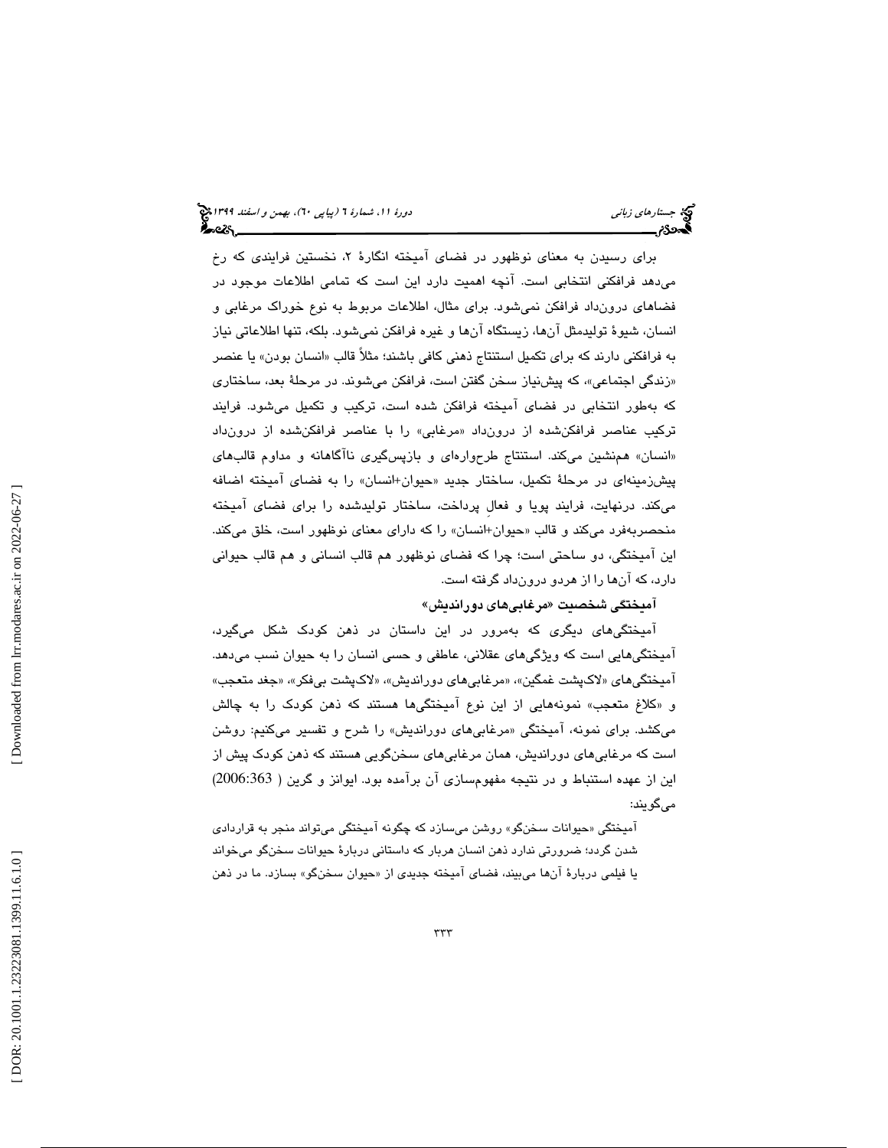برای رسیدن به معنای نوظهور در فضای امیخته انگارهٔ ۲، نخستین فرایندی که رخ ميدهد فرافكني انتخابي است. آنچه اهميت دارد اين است كه تمامي اطلاعات موجود در فضاهاي درونداد فرافكن نميشود. براي مثال، اطلاعات مربوط به نوع خوراك مرغابي و انسان، شيوة توليدمثل آنها، زيستگاه آنها و غيره فرافكن نميشود. بلكه، تنها اطلاعاتي نياز به فرافكنی دارند كه برای تكمیل استنتاج ذهنی كافی باشند؛ مثلاً قالب «انسان بودن» یا عنصر «زندگی اجتماعی»، که پیشنیاز سخن گفتن است، فرافکن میشوند. در مرحلهٔ بعد، ساختاری كه بهطور انتخابي در فضاي آميخته فرافكن شده است، تركيب و تكميل ميشود. فرايند تركيب عناصر فرافكنشده از درونداد «مرغابي» را با عناصر فرافكنشده از درونداد «انسان» همنشین میکند. استنتاج طرحوارهای و بازپسگیری نااگاهانه و مداوم قالبهای پيشزمينهای در مرحلهٔ تکمیل، ساختار جدید «حیوان+انسان» را به فضای امیخته اضافه ميكند. درنهايت، فرايند پويا و فعالِ پرداخت، ساختار توليدشده را براي فضاي آميخته منحصربهفرد میكند و قالب «حیوان+انسان» را كه دارای معنای نوظهور است، خلق میكند. اين آميختگي، دو ساحتي است؛ چرا كه فضاي نوظهور هم قالب انساني و هم قالب حيواني دارد، كه آنها را از هردو درونداد گرفته است.

اميختگى شىخصيت «مرغابىھاى دورانديش»

آميختگيهاي ديگري كه بهمرور در اين داستان در ذهن كودك شكل ميگيرد، آميختگيهايي است كه ويژگيهاي عقلاني، عاطفي و حسي انسان را به حيوان نسب ميدهد. امیختگیهای «لاکپشت غمگین»، «مرغابیِهای دوراندیش»، «لاکپشت بیفکر»، «جغد متعجب» «و كلاغ متعجب » نمونههايي از اين نوع آميختگيها هستند كه ذهن كودك را به چالش میكشد. برای نمونه، امیختگی «مرغابی۱مای دوراندیش» را شرح و تفسیر میكنیم: روشن است كه مرغابيهاي دورانديش، همان مرغابيهاي سخنگويي هستند كه ذهن كودك پيش از اين از عهده استنباط و در نتيجه مفهومسازي آن برآمده بود. ايوانز و گرين ( 2006:363) ميگويند:

امیختگی «حیوانات سخنگو» روشن میسازد که چگونه امیختگی میتواند منجر به قراردا*دی* شدن گردد؛ ضرورتي ندارد ذهن انسان هربار كه داستاني دربارة حيوانات سخنگو ميخواند يا فيلمي دربارهٔ انها ميبيند، فضاي اميخته جدي*دي* از «حيوان سخنگو» بسازد. ما در ذهن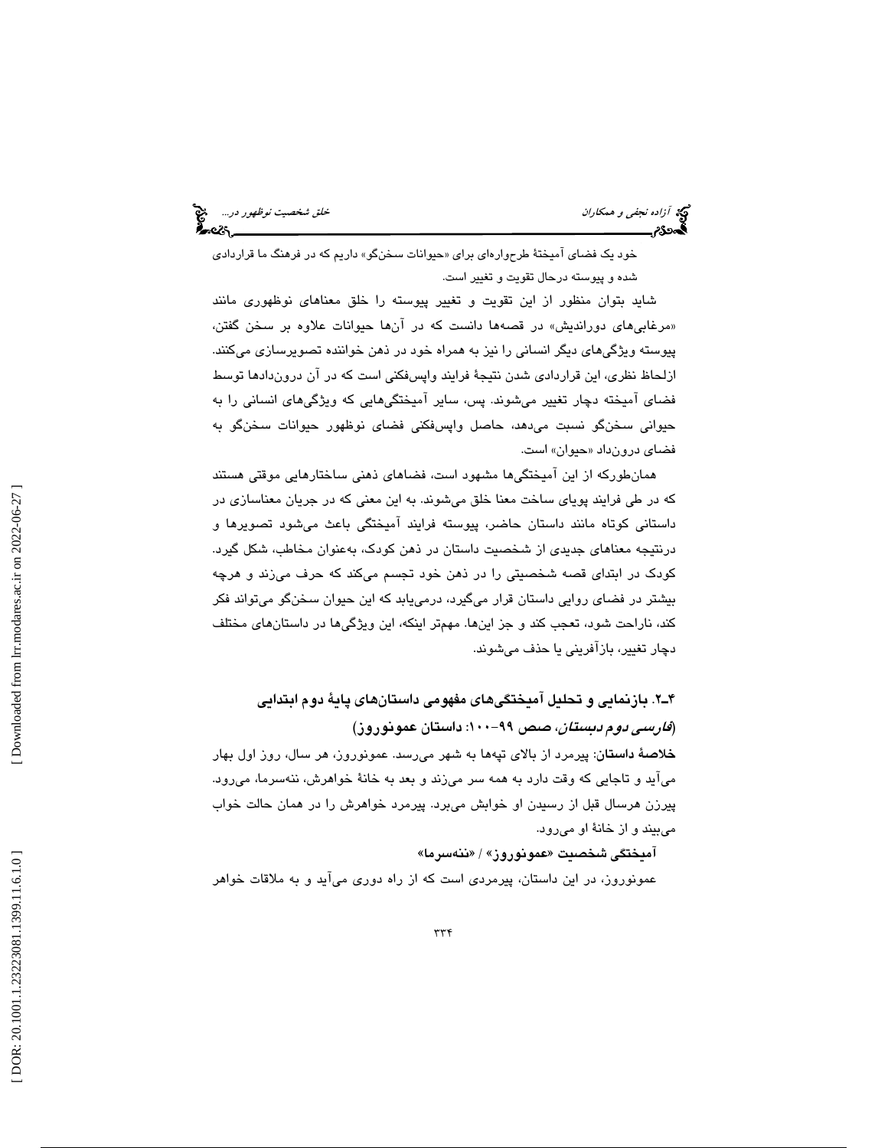آزاده نجفي و همكاران خلق شخصيت نوظهور در...

خود يک فضاي اميختۀ طرحوارهاي براي «حيوانات سخنگو» داريم که در فرهنگ ما قراردادي شده و پيوسته درحال تقويت و تغيير است.

شايد بتوان منظور از اين تقويت و تغيير پيوسته را خلق معناهاي نوظهوري مانند «مرغابی۱می دوراندیش» در قصهها دانست که در انها حیوانات علاوه بر سخن گفتن، پيوسته ويژگيهاي ديگر انساني را نيز به همراه خود در ذهن خواننده تصويرسازي ميكنند. ازلحاظ نظري، اين قراردادي شدن نتيجة فرايند واپسفكني است كه در آن دروندادها توسط فضاي آميخته دچار تغيير ميشوند. پس، ساير آميختگيهايي كه ويژگيهاي انساني را به حيواني سخنگو نسبت ميدهد، حاصل واپسفكني فضاي نوظهور حيوانات سخنگو به فضا*ی* درونداد «حیوان» است.

همانطوركه از اين آميختگيها مشهود است، فضاهاي ذهني ساختارهايي موقتي هستند كه در طي فرايند پوياي ساخت معنا خلق ميشوند. به اين معني كه در جريان معناسازي در داستاني كوتاه مانند داستان حاضر، پيوسته فرايند آميختگي باعث ميشود تصويرها و درنتيجه معناهاي جديدي از شخصيت داستان در ذهن كودك، بهعنوان مخاطب، شكل گيرد. كودك در ابتداي قصه شخصيتي را در ذهن خود تجسم ميكند كه حرف ميزند و هرچه بيشتر در فضاي روايي داستان قرار ميگيرد، در مييابد كه اين حيوان سخنگو ميتواند فكر كند، ناراحت شود، تعجب كند و جز اينها. مهمتر اينكه، اين ويژگيها در داستانهاي مختلف دچار تغيير، بازآفريني يا حذف ميشوند.

 2.ـ4 بازنمايي و تحليل آميختگيهاي مفهومي داستانهاي پاية دوم ابتدايي (*فارسي دوم دبستان*، صص ٩٩-١٠٠: داستان عمونوروز)

خلاصة داستان: پيرمرد از بالاي تپهها به شهر ميرسد. عمونوروز، هر سال، روز اول بهار ميآيد و تاجايي كه وقت دارد به همه سر ميزند و بعد به خانة خواهرش، ننهسرما، ميرود. پيرزن هرسال قبل از رسيدن او خوابش ميبرد. پيرمرد خواهرش را در همان حالت خواب ميبيند و از خانة او ميرود.

آميختگی شخصيت «عمونوروز» / «ننهسرما»

عمونوروز، در اين داستان، پيرمردي است كه از راه دوري ميآيد و به ملاقات خواهر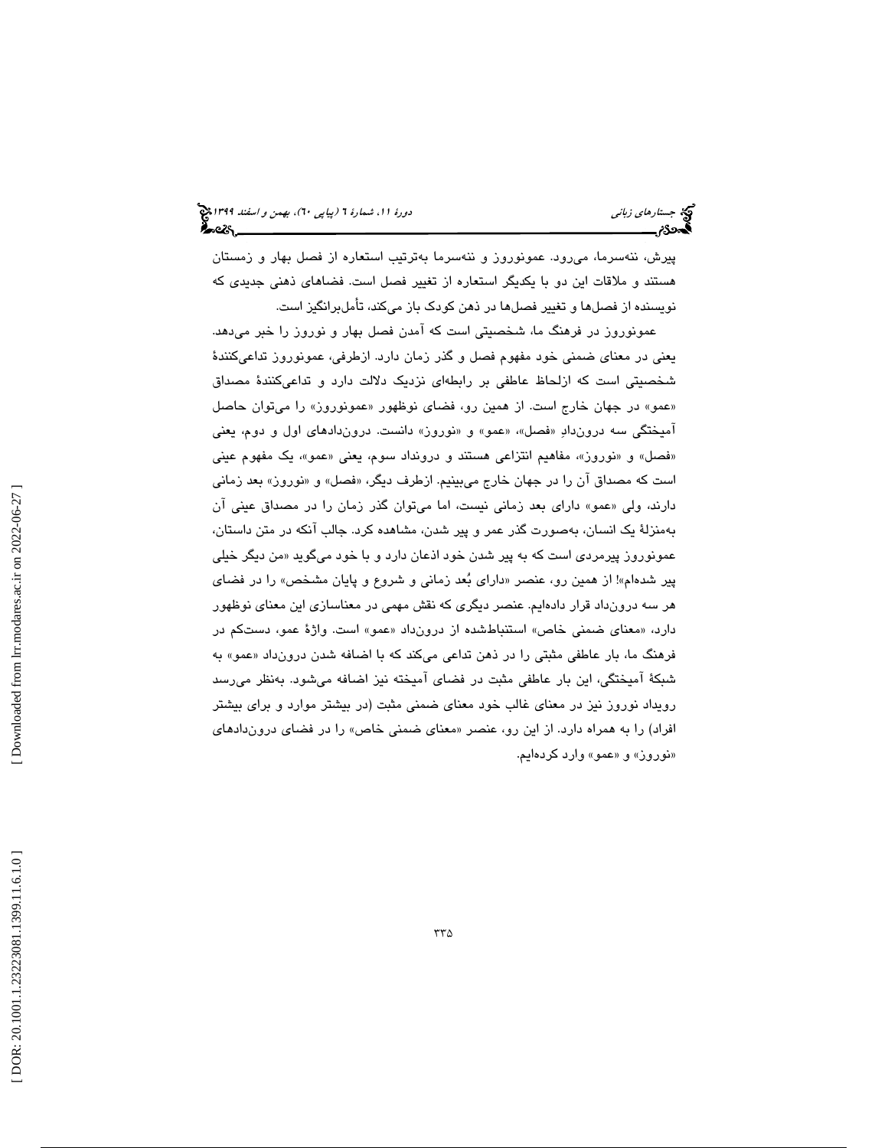پيرش، ننهسرما، ميرود. عمونوروز و ننهسرما بهترتيب استعاره از فصل بهار و زمستان هستند و ملاقات اين دو با يكديگر استعاره از تغيير فصل است. فضاهاي ذهني جديدي كه نويسنده از فصلها و تغيير فصلها در ذهن كودك باز ميكند، تأملبرانگيز است.

عمونوروز در فرهنگ ما، شخصيتي است كه آمدن فصل بهار و نوروز را خبر ميدهد. يعني در معناي ضمني خود مفهوم فصل و گذر زمان دارد. ازطرفي، عمونوروز تداعيكنندة شخصيتي است كه ازلحاظ عاطفي بر رابطهاي نزديك دلالت دارد و تداعيكنندة مصداق «عمو» در جهان خارج است. از همین رو، فضای نوظهور «عمونوروز» را میتوان حاصل امیختگی سه دروندادِ «فصل»، «عمو» و «نوروز» دانست. دروندادهای اول و دوم، یعنی «فصل» و «نوروز»، مفاهیم انتزاعی هستند و درونداد سوم، یعنی «عمو»، یک مفهوم عینی است كه مصداق ان را در جهان خارج ميبينيم. ازطرف ديگر، «فصل» و «نوروز» بعد زماني دارند، ولي «عمو» داراي بعد زماني نيست، اما ميتوان گذر زمان را در مصداق عيني ان بهمنزلة يك انسان، بهصورت گذر عمر و پير شدن، مشاهده كرد. جالب آنكه در متن داستان، عمونوروز پيرمرد*ی* است كه به پير شدن خود اذعان دارد و با خود میگويد «من ديگر خيل*ی* پير شدهام»! از همين رو، عنصر «داراي بُعد زماني و شروع و پايان مشخص» را در فضاي هر سه درونداد قرار دادهايم. عنصر ديگري كه نقش مهمي در معناسازي اين معناي نوظهور دارد، «معناى ضمني خاص» استنباطشده از درونداد «عمو» است. واژهٔ عمو، دستکم در فرهنگ ما، بار عاطفي مثبتي را در ذهن تداعي ميكند كه با اضافه شدن درونداد «عمو» به شبكة آميختگي، اين بار عاطفي مثبت در فضاي آميخته نيز اضافه ميشود. بهنظر ميرسد رويداد نوروز نيز در معناي غالب خود معناي ضمني مثبت (در بيشتر موارد و براي بيشتر افراد) را به همراه دارد. از اين رو، عنصر «معناى ضمني خاص» را در فضاى دروندادهاى «نوروز» و «عمو» وارد كردهايم.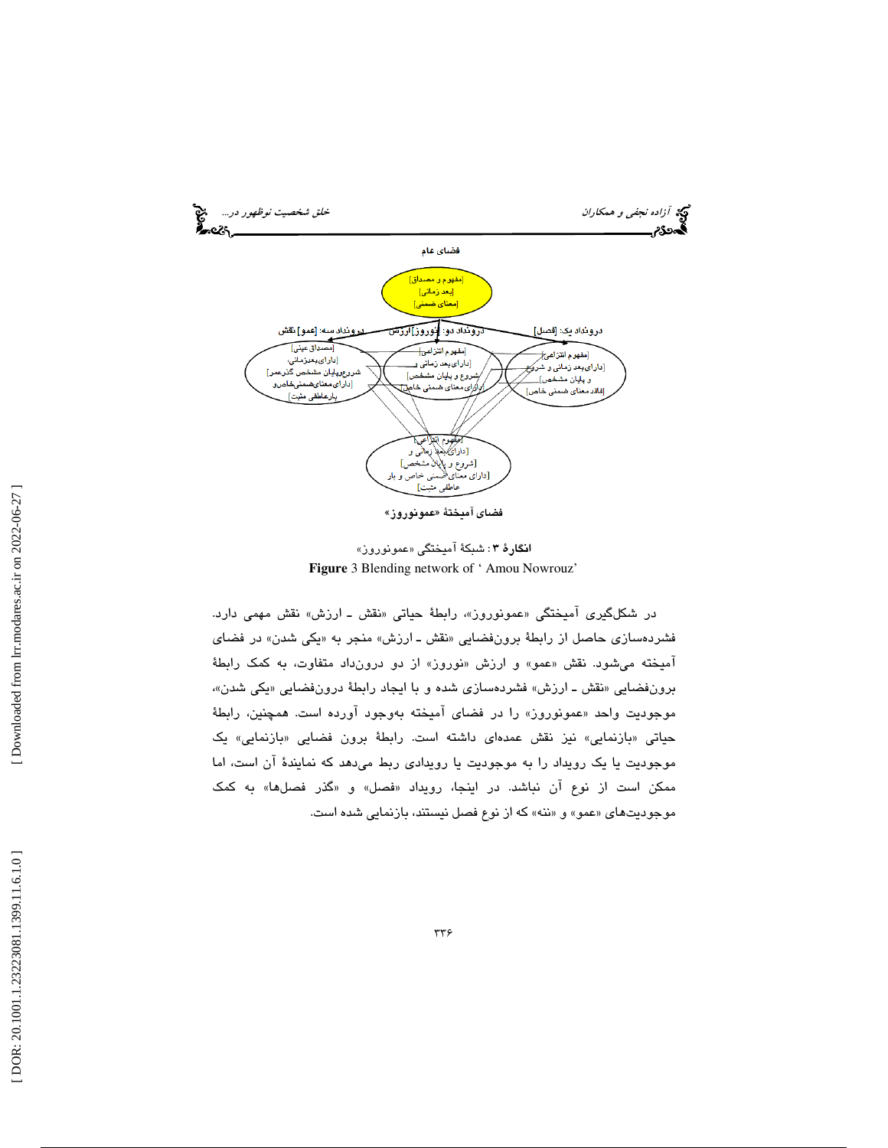

ا**نگارهٔ ۳**: شبكهٔ آمیختگی «عمونوروز» **Figure** 3 Blending network of ' Amou Nowrouz'

در شکلگیری امیختگی «عمونوروز»، رابطهٔ حیاتی «نقش ـ ارزش» نقش مهمی دارد. فشردهسازی حاصل از رابطهٔ برونفضایی «نقش ـ ارزش» منجر به «یکی شدن» در فضای امیخته میشود. نقش «عمو» و ارزش «نوروز» از دو درونداد متفاوت، به كمک رابطهٔ برونفضايي «نقش ـ ارزش» فشردهسازي شده و با ايجاد رابطهٔ درونفضايي «يكي شدن»، موجوديت واحد «عمونوروز» را در فضا*ی* اميخته بهوجود اورده است. همچنين، رابطهٔ حیاتی «بازنمایی» نیز نقش عمدهای داشته است. رابطهٔ برون فضایی «بازنمایی» یک موجوديت يا يك رويداد را به موجوديت يا رويدادي ربط ميدهد كه نمايندة آن است، اما ممكن است از نوع ان نباشد. در اينجا، رويداد «فصل» و «گذر فصلها» به كمک موجوديتهاى «عمو» و «ننه» كه از نوع فصل نيستند، بازنمايي شده است.

 [\[ DOR: 20.1001.1.23223081.1399.11.6.1.0](https://dorl.net/dor/20.1001.1.23223081.1399.11.6.1.0) ] [\[ Downloaded from lrr.modares.ac.ir on 20](https://lrr.modares.ac.ir/article-14-10748-fa.html)22-06-27 ] Downloaded from lrr.modares.ac.ir on 2022-06-27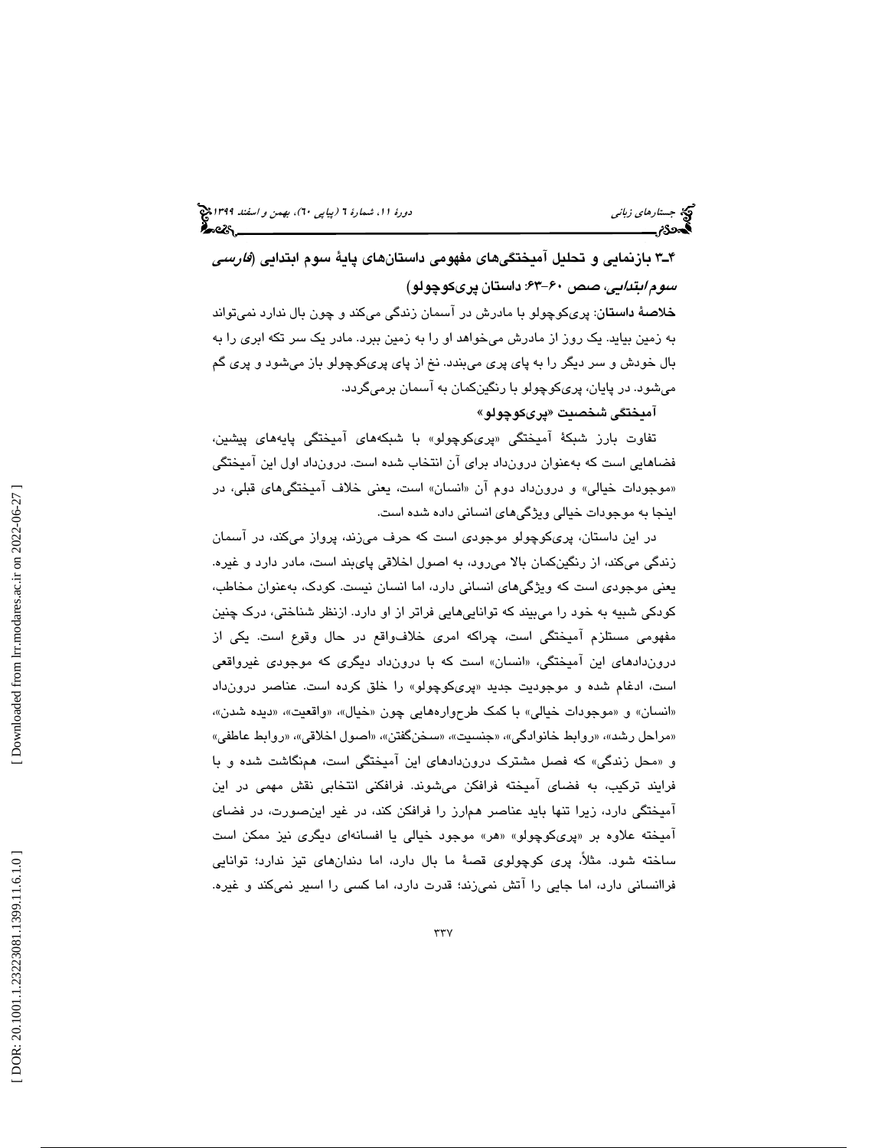3ـ4 بازنمايي و تحليل آميختگيهاي مفهومي داستانهاي پاية سوم ابتدايي (فارسي سوم *ابتدايي، صص ۶۰-*۶۳: داستان پريكوچولو) <mark>خلاصهٔ داستان</mark>: پریکوچولو با مادرش در آسمان زندگی میکند و چون بال ندارد نمیتواند به زمين بيايد. يك روز از مادرش ميخواهد او را به زمين ببرد. مادر يك سر تكه ابري را به بال خودش و سر ديگر را به پاي پري ميبندد. نخ از پاي پريكوچولو باز ميشود و پري گم ميشود. در پايان، پريكوچولو با رنگينكمان به آسمان برميگردد.

آميختگي شخصيت « پريكوچولو »

تفاوت بارز شبكهٔ اميختگی «پریکوچولو» با شبکههای اميختگی پايههای پيشين، فضاهايي است كه بهعنوان درونداد براي آن انتخاب شده است. درونداد اول اين آميختگي «موجودات خیالی» و درونداد دوم ان «انسان» است، یعنی خلاف امیختگیهای قبلی، در اينجا به موجودات خيالي ويژگيهاي انساني داده شده است.

در اين داستان، پريكوچولو موجودي است كه حرف ميزند، پرواز ميكند، در آسمان زندگي ميكند، از رنگينكمان بالا ميرود، به اصول اخلاقي پايبند است، مادر دارد و غيره. يعني موجودي است كه ويژگيهاي انساني دارد، اما انسان نيست. كودك، بهعنوان مخاطب، كودكي شبيه به خود را ميبيند كه تواناييهايي فراتر از او دارد. ازنظر شناختي، درك چنين مفهومي مستلزم آميختگي است، چراكه امري خلافواقع در حال وقوع است. يكي از دروندادهای این امیختگی، «انسان» است که با درونداد دیگری که موجودی غیرواقعی است، ادغام شده و موجوديت جديد «پریکوچولو» را خلق کرده است. عناصر درون،داد «انسان» و «موجودات خيالي» با كمک طرحوارههايي چون «خيال»، «واقعيت»، «ديده شدن»، «مراحل رشد»، «روابط خانوادگي»، «جنسيت»، «سخنگفتن»، «اصول اخلاقي»، «روابط عاطفي» «و محل زندگي » كه فصل مشترك دروندادهاي اين آميختگي است، همنگاشت شده و با فرايند تركيب، به فضاي آميخته فرافكن ميشوند. فرافكني انتخابي نقش مهمي در اين آميختگي دارد، زيرا تنها بايد عناصر همارز را فرافكن كند، در غير اينصورت، در فضاي اميخته علاوه بر «پرىكوچولو» «هر» موجود خيالى يا افسانهاى ديگرى نيز ممكن است ساخته شود. مثلا،ً پري كوچولوي قصة ما بال دارد، اما دندانهاي تيز ندارد؛ توانايي فراانساني دارد، اما جايي را آتش نميزند؛ قدرت دارد، اما كسي را اسير نميكند و غيره.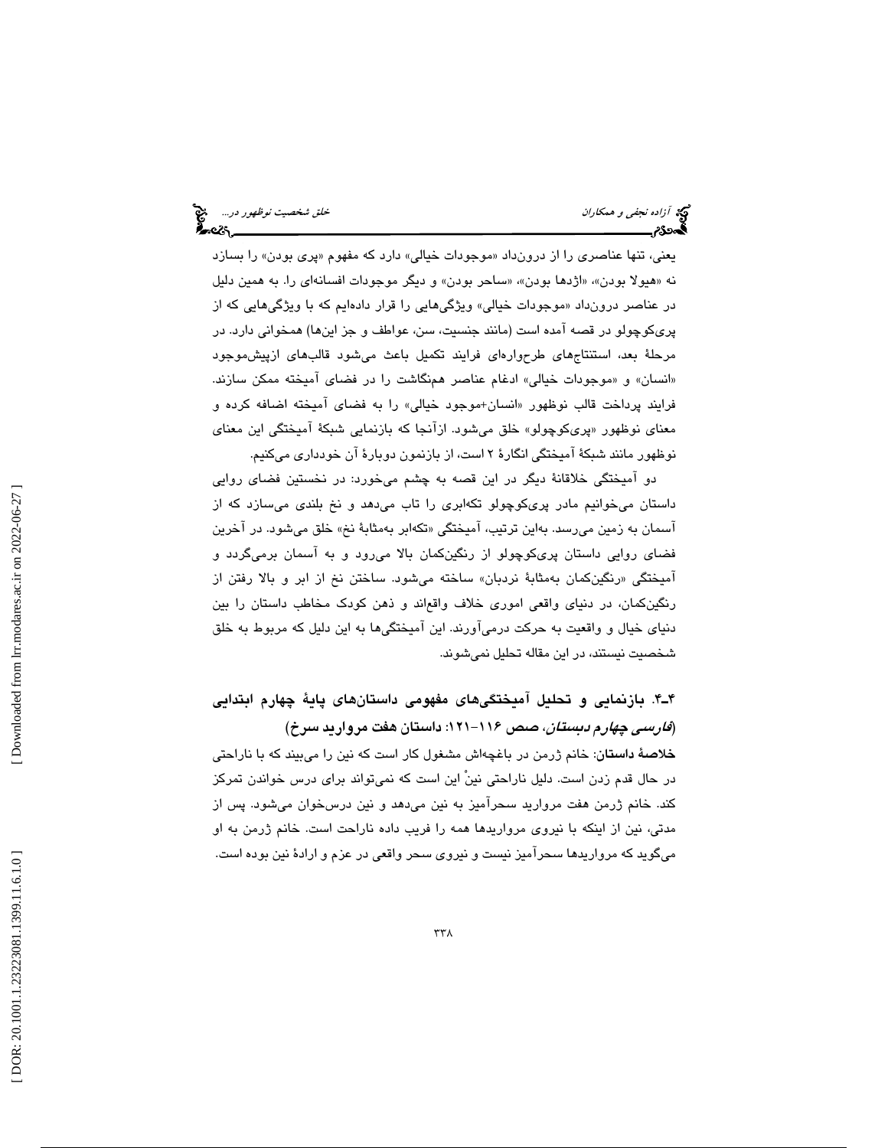| دیم آزاده نجفی و همکاران<br>کاره ۶۶ |  |  |
|-------------------------------------|--|--|
|                                     |  |  |

یعني، تنها عناصري را از درونداد «موجودات خیالي» دارد که مفهوم «پری بودن» را بسازد نه «هيولا بودن»، «اژدها بودن»، «ساحر بودن» و ديگر موجودات افسانهاي را. به همين دليل در عناصر درونداد «موجودات خيالی» ويژگیهايی را قرار دادهايم كه با ويژگیهايی كه از پریکوچولو در قصه امده است (مانند جنسیت، سن، عواطف و جز اینها) همخوانی دارد. در مرحلة بعد، استنتاجهاي طرحوارهاي فرايند تكميل باعث ميشود قالبهاي ازپيشموجود «انسان» و «موجودات خيالى» ادغام عناصر همنگاشت را در فضاى اميخته ممكن سازند. فرايند پرداخت قالب نوظهور «انسان+موجود خيالي» را به فضای اميخته اضافه كرده و معنای نوظهور «پریکوچولو» خلق میشود. ازانجا که بازنمایی شبکهٔ امیختگی این معنای نوظهور مانند شبكة آميختگي انگارة 2 است، از بازنمون دوبارة آن خودداري ميكنيم.

دو آميختگي خلاقانة ديگر در اين قصه به چشم ميخورد: در نخستين فضاي روايي داستان مي خوانيم مادر پريكوچولو تكهابري را تاب ميدهد و نخ بلندي ميسازد كه از اسمان به زمین میرسد. بهاین ترتیب، امیختگی «تکهابر بهمثابهٔ نخ» خلق میشود. در اخرین فضاي روايي داستان پريكوچولو از رنگينكمان بالا ميرود و به آسمان برميگردد و اميختگي «رنگينكمان بهمثابهٔ نردبان» ساخته ميشود. ساختن نخ از ابر و بالا رفتن از رنگينكمان، در دنياي واقعي اموري خلاف واقعاند و ذهن كودك مخاطب داستان را بين دنياي خيال و واقعيت به حركت درميآورند. اين آميختگيها به اين دليل كه مربوط به خلق شخصيت نيستند، در اين مقاله تحليل نميشوند.

 4.ـ4 بازنمايي و تحليل آميختگيهاي مفهومي داستانهاي پاية چهارم ابتدايي (*فارسی چهارم دبستان*، صص ۱۱۶–۱۲۱: داستان هفت مروارید سرخ) خلاصة داستان: خانم ژرمن در باغچهاش مشغول كار است كه نين را ميبيند كه با ناراحتي در حال قدم زدن است. دليل ناراحتي نينْ اين است كه نمي تواند براي درس خواندن تمركز كند. خانم ژرمن هفت مرواريد سحرآميز به نين ميدهد و نين درسخوان ميشود. پس از مدتي، نين از اينكه با نيروي مرواريدها همه را فريب داده ناراحت است. خانم ژرمن به او ميگويد كه مرواريدها سحرآميز نيست و نيروي سحر واقعي در عزم و ارادة نين بوده است.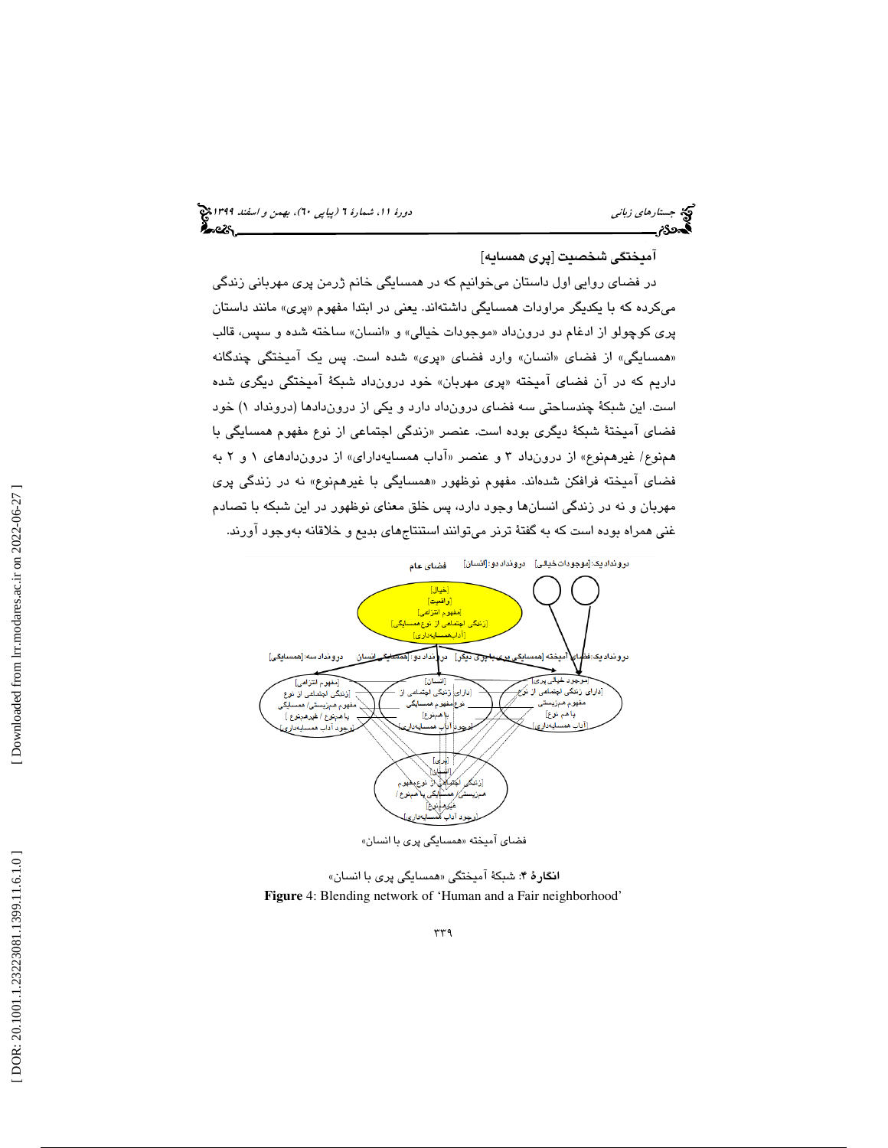#### آميختگي شخصيت [پري همسايه]

در فضاي روايي اول داستان ميخوانيم كه در همسايگي خانم ژرمن پري مهرباني زندگي میکرده که با یکدیگر مراودات همسایگی داشتهاند. یعنی در ابتدا مفهوم «پری» مانند داستان پری کوچولو از ادغام دو درونداد «موجودات خیالی» و «انسان» ساخته شده و سپس، قالب «همسايگى» از فضاى «انسان» وارد فضاى «پرى» شده است. پس يک اميختگى چندگانه داريم كه در ان فضاى اميخته «پرى مهربان» خود درونداد شبكهٔ اميختگي ديگرى شده است. اين شبكهٔ چندساحتی سه فضای درونداد دارد و يكی از دروندادها (درونداد ۱) خود فضای امیختهٔ شبکهٔ دیگری بوده است. عنصر «زندگی اجتماعی از نوع مفهوم همسایگی با همنوع/ غيرهمنوع» از درونداد ۳ و عنصر «اداب همسايهداراي» از دروندادهاي ۱ و ۲ به فضای امیخته فرافکن شدهاند. مفهوم نوظهور «همسایگی با غیرهمنوع» نه در زندگی پری مهربان و نه در زندگي انسانها وجود دارد، پس خلق معناي نوظهور در اين شبكه با تصادم غني همراه بوده است كه به گفتة ترنر ميتوانند استنتاجهاي بديع و خلاقانه بهوجود آورند.



ا**نگار**هٔ ۴: شبکهٔ آمیختگی «همسایگی پری با انسان» **Figure** 4: Blending network of 'Human and a Fair neighborhood'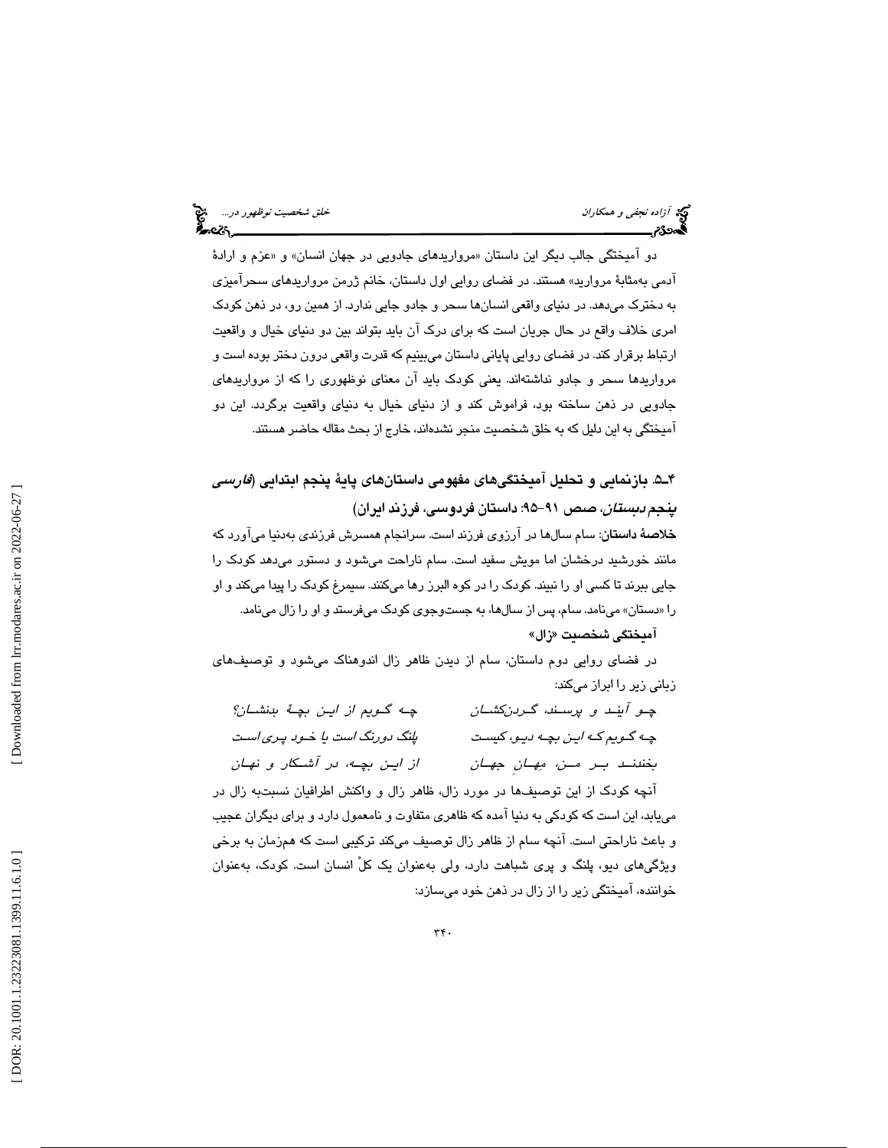دو اميختگي جالب ديگر اين داستان «مرواريدهای جادويي در جهان انسان» و «عزم و ارادهٔ آدمي بهمثابة مرواريد » هستند. در فضاي روايي اول داستان، خانم ژرمن مرواريدهاي سحرآميزي به دخترك ميدهد. در دنياي واقعي انسانها سحر و جادو جايي ندارد. از همين رو، در ذهن كودك امري خلاف واقع در حال جريان است كه براي درك آن بايد بتواند بين دو دنياي خيال و واقعيت ارتباط برقرار كند. در فضاي روايي پاياني داستان ميبينيم كه قدرت واقعي درون دختر بوده است و مرواريدها سحر و جادو نداشتهاند. يعني كودك بايد آن معناي نوظهوري را كه از مرواريدهاي جادويي در ذهن ساخته بود، فراموش كند و از دنياي خيال به دنياي واقعيت برگردد. اين دو آميختگي به اين دليل كه به خلق شخصيت منجر نشدهاند، خارج از بحث مقاله حاضر هستند.

5ـ4 . بازنمايي و تحليل آميختگيهاي مفهومي داستانهاي پاية پنجم ابتدايي (فارسي *پنجم دبستان، ص*ص ۹۱–۹۵: داستان فردوسی، فرزند ایران)

خلاصة داستان: سام سالها در آرزوي فرزند است. سرانجام همسرش فرزندي بهدنيا ميآورد كه مانند خورشيد درخشان اما مويش سفيد است. سام ناراحت مي شود و دستور مي دهد كودك را جايي ببرند تا كسي او را نبيند. كودك را در كوه البرز رها ميكنند. سيمرغ كودك را پيدا ميكند و او «را دستان» مينامد. سام، پس از سالها، به جستوجوي كودك ميفرستد و او را زال مينامد.

#### آم**يختگى شخصيت «زال»**

در فضاي روايي دوم داستان، سام از ديدن ظاهر زال اندوهناك ميشود و توصيفهاي زباني زير را ابراز ميكند:

| چه گويم از اين بچهٔ بانشان؟      | چو آبند و پرسند، گردنکشان         |
|----------------------------------|-----------------------------------|
| پلنگ دورنگ است یا خـود پـری اسـت | چـه گـويم كـه ايـن بچـه ديـو، كست |
| از این بچه، در آشکار و نهان      | بخندنـد بـر مــن، مِهـانِ جهـان   |
|                                  |                                   |

آنچه كودك از اين توصيفها در مورد زال، ظاهر زال و واكنش اطرافيان نسبتبه زال در مييابد، اين است كه كودكي به دنيا آمده كه ظاهري متفاوت و نامعمول دارد و براي ديگران عجيب و باعث ناراحتي است. آنچه سام از ظاهر زال توصيف ميكند تركيبي است كه همزمان به برخي ويژگي هاي ديو، پلنگ و پري شباهت دارد، ولي بهعنوان يک کلْ انسان است. کودک، بهعنوان خواننده، آميختگي زير را از زال در ذهن خود ميسازد: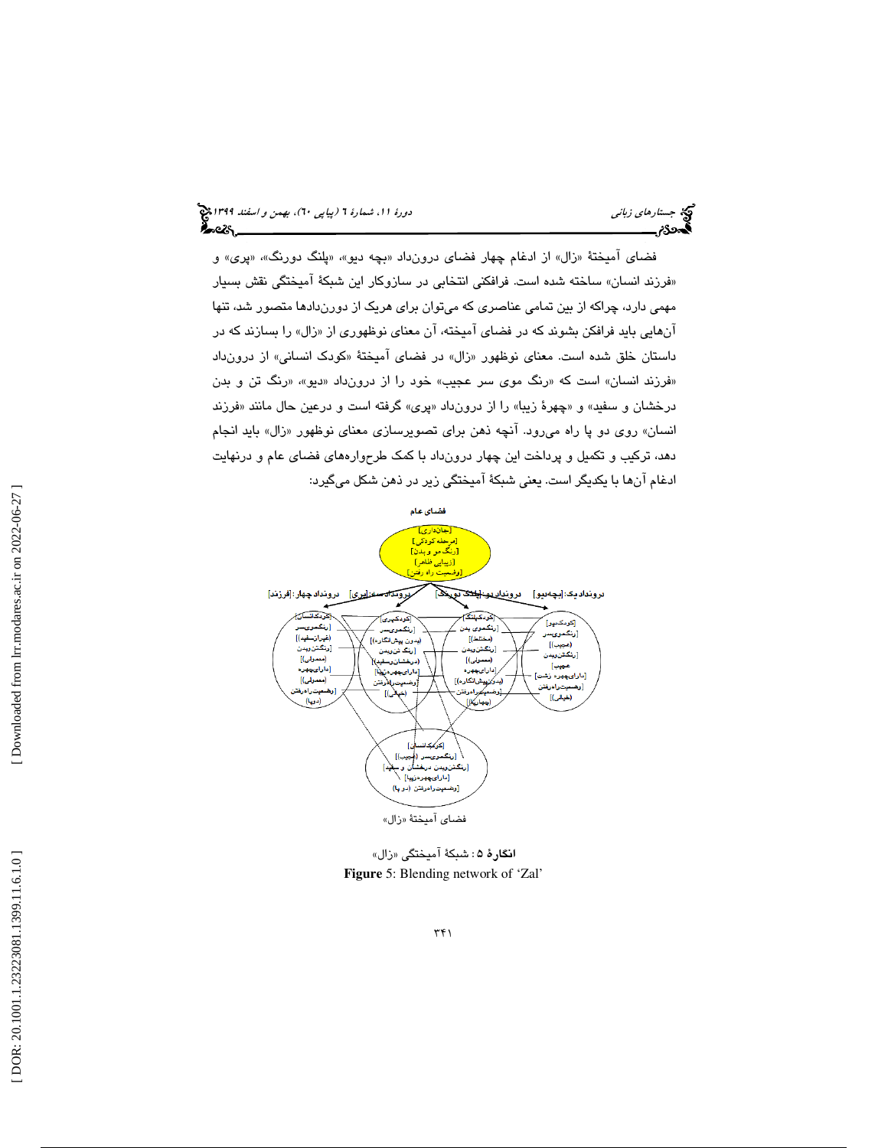فضای امیختهٔ «زال» از ادغام چهار فضای درونداد «بچه دیو». «پلنگ دورنگ»، «پری» و «فرزند انسان» ساخته شده است. فرافكني انتخابي در سازوكار اين شبكهٔ اميختگي نقش بسيار مهمي دارد، چراكه از بين تمامي عناصري كه ميتوان براي هريك از دورندادها متصور شد، تنها انهایی باید فرافکن بشوند که در فضای امیخته، ان معنای نوظهوری از «زال» را بسازند که در داستان خلق شده است. معنای نوظهور «زال» در فضای امیختهٔ «کودک انسانی» از درونداد «فرزند انسان» است كه «رنگ موى سر عجیب» خود را از درونداد «دیو»، «رنگ تن و بدن درخشان و سفید» و «چهرهٔ زیبا» را از درونداد «پری» گرفته است و درعین حال مانند «فرزند انسان» روی دو پا راه م<sub>ی</sub>رود. انچه ذهن برای تصویرسازی معنای نوظهور «زال» باید انجام دهد، تركيب و تكميل و پرداخت اين چهار درونداد با كمك طرح وارههاي فضاي عام و درنهايت ادغام آنها با يكديگر است. يعني شبكة آميختگي زير در ذهن شكل ميگيرد:



ا**نگارهٔ** ۵ : شبكهٔ آميختگی «زال» **Figure** 5: Blending network of 'Zal'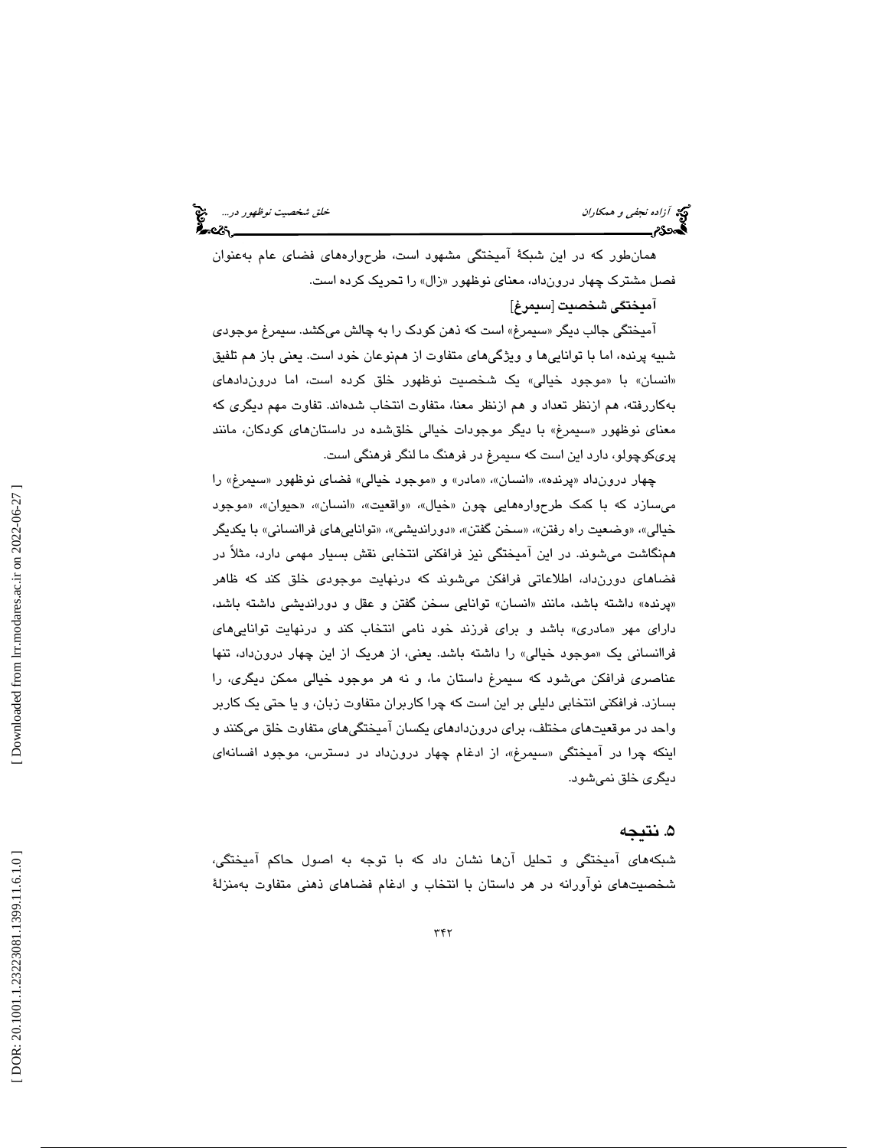آزاده نجفي و همكاران خلق شخصيت نوظهور در...

همانطور كه در اين شبكة آميختگي مشهود است، طرحوارههاي فضاي عام بهعنوان فصل مشترک چهار درونداد، معنای نوظهور «زال» را تحریک کرده است.

آميختگي شخصيت [سيمرغ]

امیختگی جالب دیگر «سیمرغ» است که ذهن کودک را به چالش میکشد. سیمرغ موجود*ی* شبيه پرنده، اما با تواناييها و ويژگيهاي متفاوت از همنوعان خود است. يعني باز هم تلفيق «انسان» با «موجود خيالی» يک شخصيت نوظهور خلق کرده است، اما درونداد*ه*ای به كاررفته، هم ازنظر تعداد و هم ازنظر معنا، متفاوت انتخاب شدهاند. تفاوت مهم ديگري كه معنای نوظهور «سیمرغ» با دیگر موجودات خیالی خلقشده در داستانهای کودکان، مانند پريكوچولو، دارد اين است كه سيمرغ در فرهنگ ما لنگر فرهنگي است.

چهار درونداد «پرنده»، «انسان»، «مادر» و «موجود خيالي» فضاي نوظهور «سيمرغ» را میسازد که با کمک طرحوارههایی چون «خیال»، «واقعیت»، «انسان»، «حیوان»، «موجود خيالي»، «وضعيت راه رفتن»، «سخن گفتن»، «دورانديشي»، «تواناييهاي فراانساني» با يكديگر همنگاشت ميشوند. در اين آميختگي نيز فرافكني انتخابي نقش بسيار مهمي دارد، مثلاً در فضاهاي دورنداد، اطلاعاتي فرافكن ميشوند كه درنهايت موجودي خلق كند كه ظاهر «پرنده» داشته باشد، مانند «انسان» توانایی سخن گفتن و عقل و دوراندیشی داشته باشد، دارای مهر «مادری» باشد و برای فرزند خود نامی انتخاب کند و درنهایت تواناییهای فراانسانی یک «موجود خیالی» را داشته باشد. یعنی، از هریک از این چهار درونداد، تنها عناصري فرافكن ميشود كه سيمرغ داستان ما، و نه هر موجود خيالي ممكن ديگري، را بسازد. فرافكني انتخابي دليلي بر اين است كه چرا كاربران متفاوت زبان، و يا حتي يك كاربر واحد در موقعيتهاي مختلف، براي دروندادهاي يكسان آميختگيهاي متفاوت خلق ميكنند و اینکه چرا در امیختگی «سیمرغ»، از ادغام چهار درونداد در دسترس، موجود افسانه*ای* ديگري خلق نميشود.

#### 5. نتيجه

شبكههاي آميختگي و تحليل آنها نشان داد كه با توجه به اصول حاكم آميختگي، شخصيتهاي نوآورانه در هر داستان با انتخاب و ادغام فضاهاي ذهني متفاوت بهمنزلة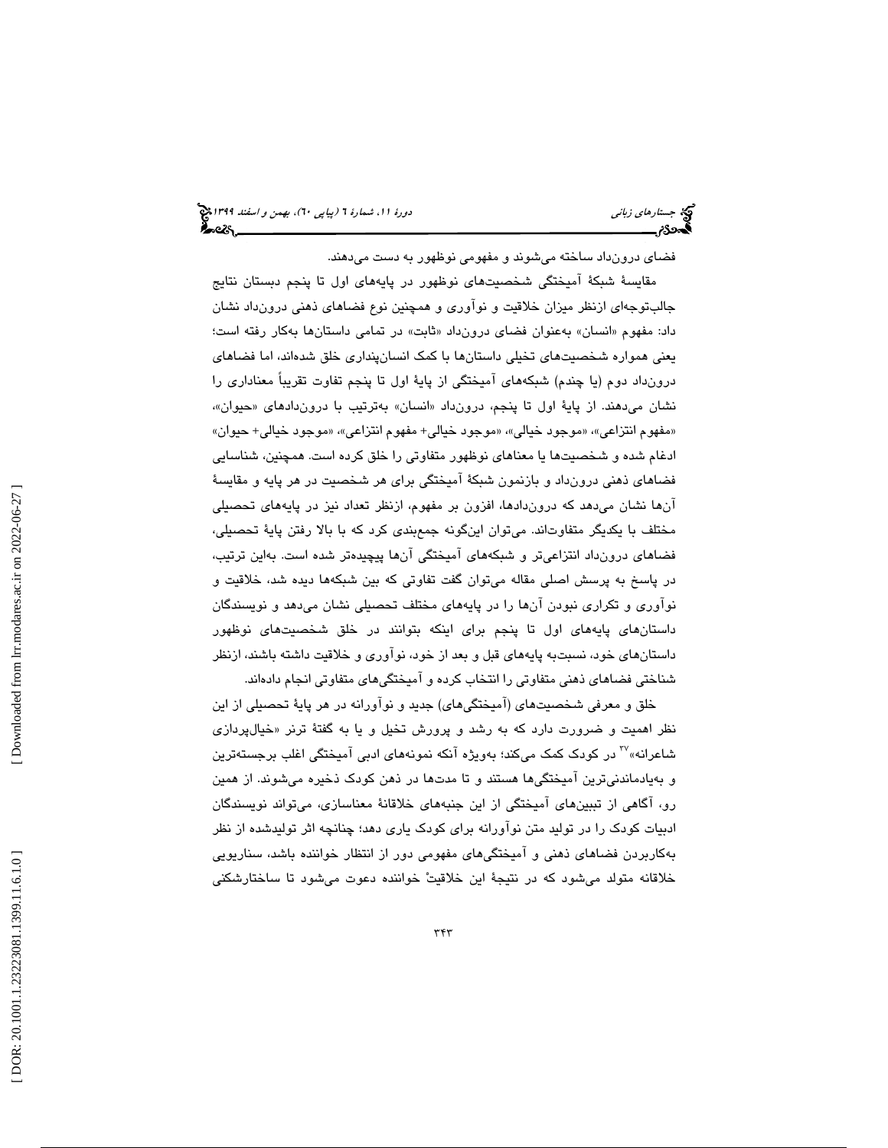فضای درونداد ساخته میشوند و مفهومی نوظهور به دست میدهند.

مقايسة شبكة آميختگي شخصيتهاي نوظهور در پايههاي اول تا پنجم دبستان نتايج جالبتوجهاي ازنظر ميزان خلاقيت و نوآوري و همچنين نوع فضاهاي ذهني درونداد نشان داد: مفهوم «انسان» بهعنوان فضای درونداد «ثابت» در تمامی داستانها بهکار رفته است؛ يعني همواره شخصيتهاي تخيلي داستانها با كمك انسانپنداري خلق شدهاند، اما فضاهاي درونداد دوم (يا چندم) شبكههاي آميختگي از پاية اول تا پنجم تفاوت تقريباً معناداري را نشان میدهند. از پایهٔ اول تا پنجم، درونداد «انسان» بهترتیب با دروندادهای «حیوان»، «مفهوم انتزاعي»، «موجود خيالي»، «موجود خيالي+ مفهوم انتزاعي»، «موجود خيالي+ حيوان» ادغام شده و شخصيتها يا معناهاي نوظهور متفاوتي را خلق كرده است. همچنين، شناسايي فضاهاي ذهني درونداد و بازنمون شبكة آميختگي براي هر شخصيت در هر پايه و مقايسة آنها نشان ميدهد كه دروندادها، افزون بر مفهوم، ازنظر تعداد نيز در پايههاي تحصيلي مختلف با يكديگر متفاوتاند. ميتوان اينگونه جمعبندي كرد كه با بالا رفتن پاية تحصيلي، فضاهاي درونداد انتزاعيتر و شبكههاي آميختگي آنها پيچيدهتر شده است. بهاين ترتيب، در پاسخ به پرسش اصلي مقاله ميتوان گفت تفاوتي كه بين شبكهها ديده شد، خلاقيت و نوآوري و تكراري نبودن آنها را در پايههاي مختلف تحصيلي نشان ميدهد و نويسندگان داستانهاي پايههاي اول تا پنجم براي اينكه بتوانند در خلق شخصيتهاي نوظهور داستانهاي خود، نسبتبه پايههاي قبل و بعد از خود، نوآوري و خلاقيت داشته باشند، ازنظر شناختي فضاهاي ذهني متفاوتي را انتخاب كرده و آميختگيهاي متفاوتي انجام دادهاند.

خلق و معرفي شخصيتهاي (آميختگي هاي) جديد و نوآورانه در هر پاية تحصيلي از اين نظر اهميت و ضرورت دارد كه به رشد و پرورش تخيل و يا به گفتهٔ ترنر «خيالپردازي شاعرانه» <sup>۲۰</sup> در كودک كمک میكند؛ بهويژه آنكه نمونههای ادبی آمیختگی اغلب برجستهترين و بهيادماندنيترين آميختگيها هستند و تا مدتها در ذهن كودك ذخيره مي شوند. از همين رو، آگاهي از تببينهاي آميختگي از اين جنبههاي خلاقانة معناسازي، ميتواند نويسندگان ادبيات كودك را در توليد متن نوآورانه براي كودك ياري دهد؛ چنانچه اثر توليدشده از نظر به كاربردن فضاهاي ذهني و آميختگيهاي مفهومي دور از انتظار خواننده باشد، سناريويي خلاقانه متولد ميشود كه در نتيجة اين خلاقيت خواننده دعوت ميشود تا ساختارشكني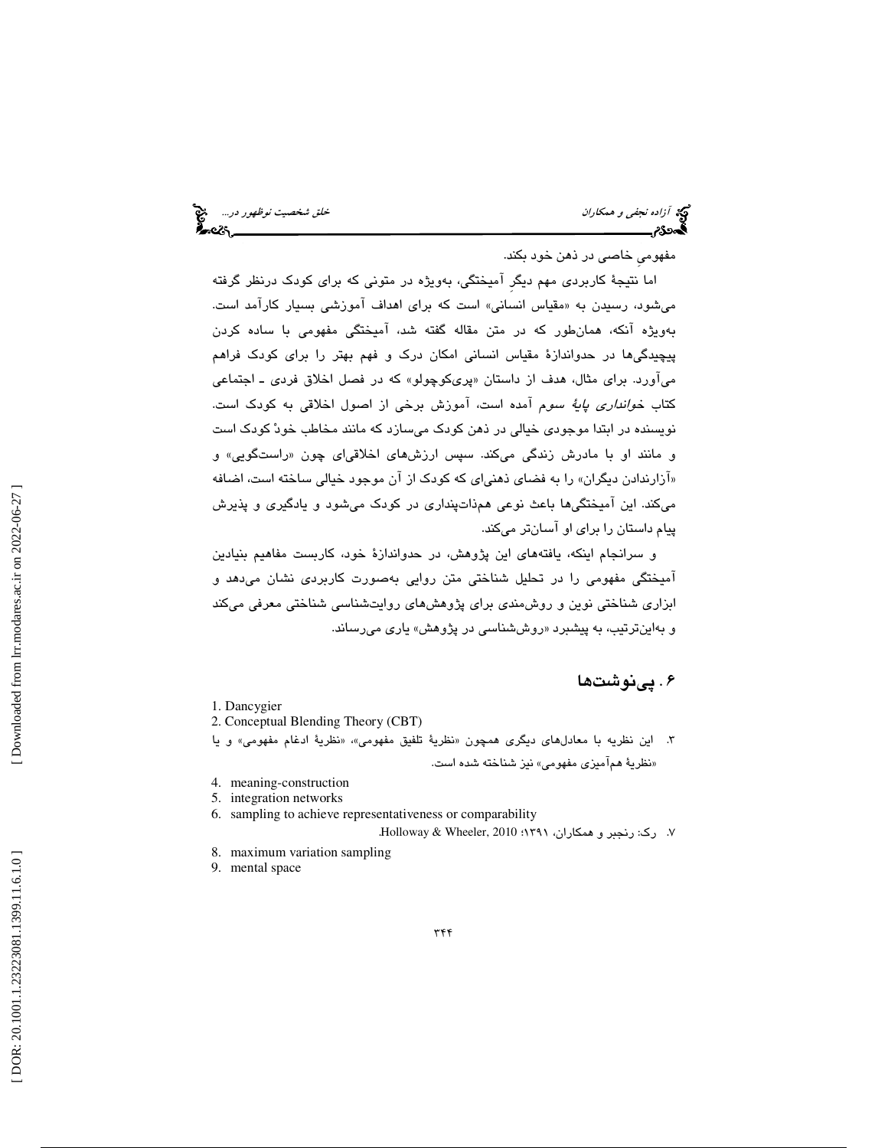آزاده نجفي و همكاران خلق شخصيت نوظهور در...

مفهوميِ خاصي در ذهن خود بكند.

اما نتيجة كاربردي مهم ديگرِ آميختگي، بهويژه در متوني كه براي كودك درنظر گرفته میشود، رسیدن به «مقیاس انسانی» است که برای اهداف اموزشی بسیار کارامد است. بهويژه آنكه، همانطور كه در متن مقاله گفته شد، آميختگي مفهومي با ساده كردن پيچيدگي ها در حدواندازهٔ مقياس انساني امكان درك و فهم بهتر را براي كودك فراهم میاورد. برای مثال، هدف از داستان «پریکوچولو» که در فصل اخلاق فردی ــ اجتماعی كتاب *خوانداري پايهٔ سو*م آمده است، آموزش برخي از اصول اخلاقي به كودک است. نويسنده در ابتدا موجودي خيالي در ذهن كودك ميسازد كه مانند مخاطب خود كودك است و مانند او با مادرش زندگی میكند. سپس ارزشهای اخلاقیای چون «راستگویی» و «ازارندادن دیگران» را به فضای ذهنیای که کودک از آن موجود خیالی ساخته است، اضافه ميكند. اين آميختگيها باعث نوعي هم ذاتپنداري در كودك ميشود و يادگيري و پذيرش پيام داستان را براي او آسانتر ميكند.

و سرانجام اينكه، يافتههاي اين پژوهش، در حدواندازة خود، كاربست مفاهيم بنيادين آميختگي مفهومي را در تحليل شناختي متن روايي بهصورت كاربردي نشان ميدهد و ابزاري شناختي نوين و روشمندي براي پژوهشهاي روايتشناسي شناختي معرفي ميكند و بهاینترتیب، به پیشبرد «روششناسی در پژوهش» یاری میرساند.

### 6 . پينوشتها

- 1. Dancygier
- 2. Conceptual Blending Theory (CBT)
- ۳. اين نظريه با معادل $\mathbf{a}$ ای ديگری همچون «نظريهٔ تلفيق مفهومی»، «نظريهٔ ادغام مفهومی» و يا «نظرية هماميز*ي* مفهومي» نيز شناخته شده است.
- 4. meaning-construction
- 5. integration networks
- 6. sampling to achieve representativeness or comparability
	- ۷. رک: رنجبر و همکاران، ۱۳۹۱؛ Holloway & Wheeler, 2010.
- 8. maximum variation sampling
- 9. mental space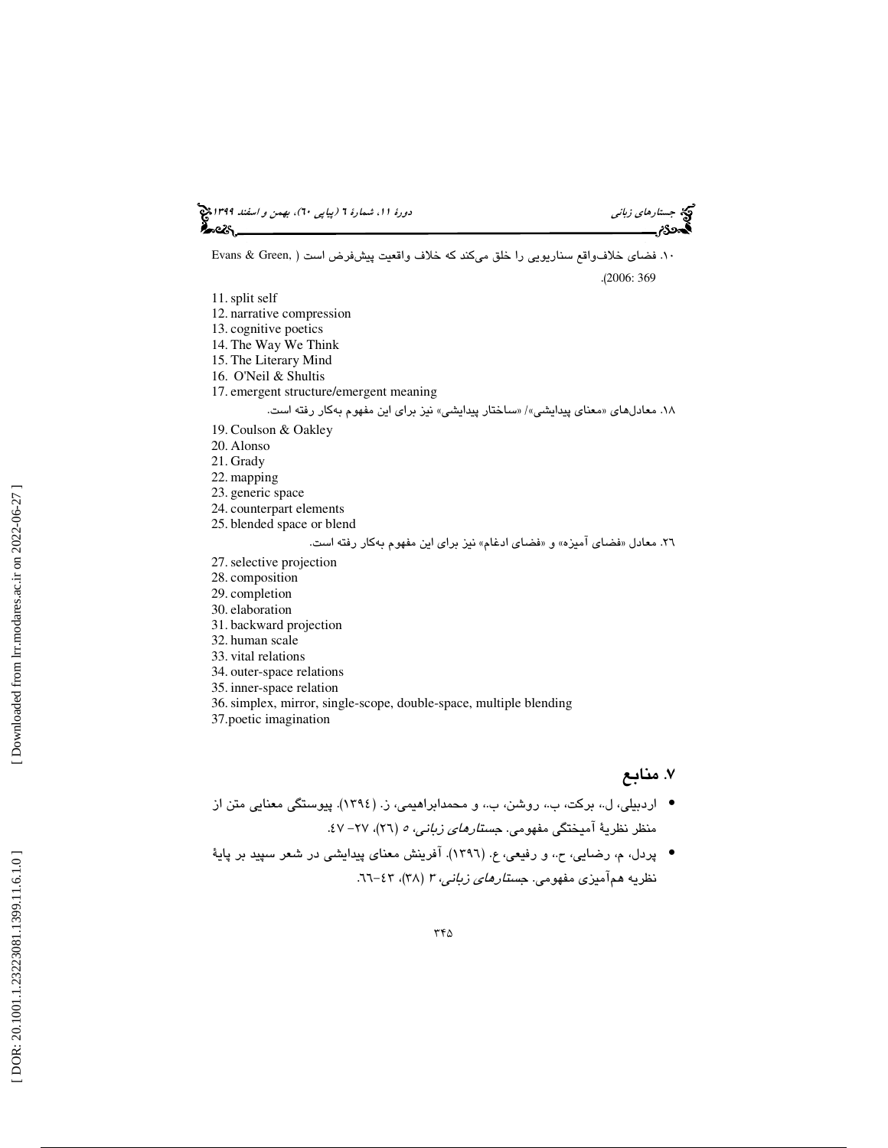# جستار*هاي زباني (بياپي 60)، بهمن و اسفند 1*398 هجرا بياني دورة 11، شمارة 1 (پياپي ٢٠)، بهم*ن و اسفند 1*394 هج

.( 2006: 369

10. فضاي خلافواقع سناريويي را خلق ميكند كه خلاف واقعيت پيشفرض است ( ,Green & Evans

11.split self

- 12. narrative compression
- 13. cognitive poetics
- 14. The Way We Think
- 15. The Literary Mind
- 16. O'Neil & Shultis
- 17. emergent structure/emergent meaning

۱۸. معادلهای «معنای پیدایشی»/ «ساختار پیدایشی» نیز برای این مفهوم بهکار رفته است.

- 19. Coulson & Oakley
- 20. Alonso
- 21. Grady
- 22. mapping
- 23. generic space
- 24. counterpart elements
- 25. blended space or blend

#### ٢٦. معادل «فضاي اميزه» و «فضاي ادغام» نيز براي اين مفهوم بهكار رفته است.

- 27.selective projection
- 28. composition
- 29. completion
- 30. elaboration
- 31. backward projection
- 32. human scale
- 33. vital relations
- 34. outer-space relations
- 35. inner-space relation
- 36.simplex, mirror, single-scope, double-space, multiple blending
- 37.poetic imagination

### 7. منابع

- اردبيلي، ل.، بركت، ب.، روشن، ب.، و محمدابراهيمي، ز. (١٣٩٤). پيوستگي معنايي متن از منظر نظریهٔ امیختگی مفهومی. ج*ستارهای زبانی، ٥ (*٢٦)، ٢٧– ٤٧.
- پردل، م، رضايي، ح.، و رفيعي، ع. (١٣٩٦). آفرينش معناي پيدايشي در شعر سپيد بر پايهٔ نظریه هم۱میزی مفهومی. ج*ستارهای زبانی، ۳ (*۳۸)، ۶۳–۲۱.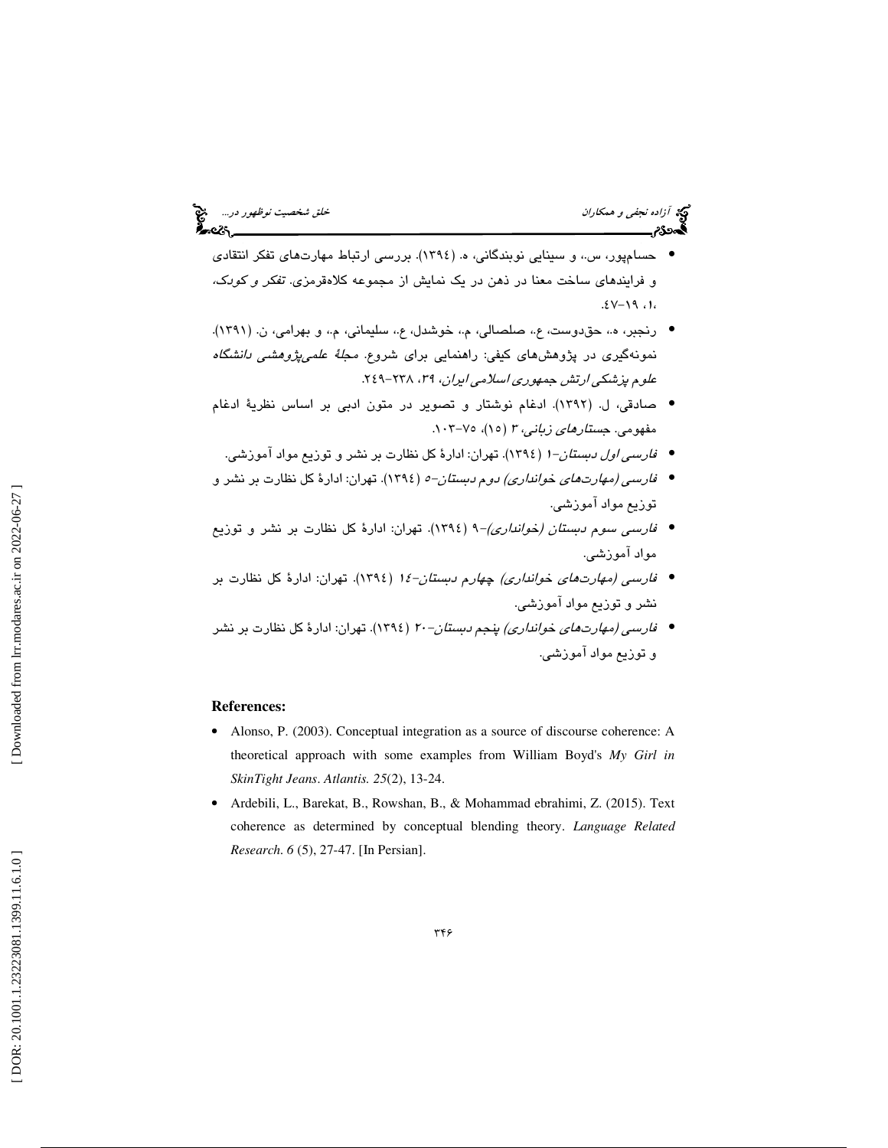- حسامپور، س.، و سینایی نوبندگانی، ه. (١٣٩٤). بررسی ارتباط مهارتهای تفکر انتقادی و فرايندهاي ساخت معنا در ذهن در يك نمايش از مجموعه كلاهقرمزي. تفكر و كودك، ،۱، ۱۹–۱۷.
- رنجبر، ه.، حق دوست، ع.، صلصالي، م.، خوشدل، ع.، سليماني، م.، و بهرامي، ن. (١٣٩١). نمونهگیری در پژوهش،های کیفی: راهنمایی برای شروع. *مجلهٔ علمی،پژوهشی دانشگاه*<br>*علوم پزشکی ارتش جمهوری اسلامی ایران، ۲۹*، ۲۲۸-۲۶۹.
- صادقي، ( ل. 1392). ادغام نوشتار و تصوير در متون ادبي بر اساس نظرية ادغام مفهومی. *جستارهای زبانی، ۳ (*۱۵)، ۷۵–۱۰۳.
	- *فارسی اول دبستان−۱* (١٣٩٤). تهران: ادارهٔ کل نظارت بر نشر و توزیع مواد آموزشی.
- *فارسي (مهارتهاي خوانداري) دوم دبستان-٥* (١٣٩٤). تهران: ادارهٔ كل نظارت بر نشر و توزيع مواد آموزشي.
- ف*ارسی سوم دبستان (خوانداری)−۹ (*۱۳۹٤). تهران: ادارهٔ کل نظارت بر نشر و توزیع مواد آموزشي.
- ف*ارسی (مهارتهای خوانداری) چهارم دبستان−۱۶* (۱۳۹٤). تهران: ادارهٔ کل نظارت بر نشر و توزيع مواد آموزشي.
- *فارسي (مهارتهاي خوانداري) پنجم دبستان-۲۰* (١٣٩٤). تهران: ادارهٔ كل نظارت بر نشر و توزيع مواد آموزشي.

#### **References:**

- Alonso, P. (2003). Conceptual integration as a source of discourse coherence: A theoretical approach with some examples from William Boyd's *My Girl in SkinTight Jeans*. *Atlantis. 25*(2), 13-24.
- Ardebili, L., Barekat, B., Rowshan, B., & Mohammad ebrahimi, Z. (2015). Text coherence as determined by conceptual blending theory. *Language Related Research*. *6* (5), 27-47. [In Persian].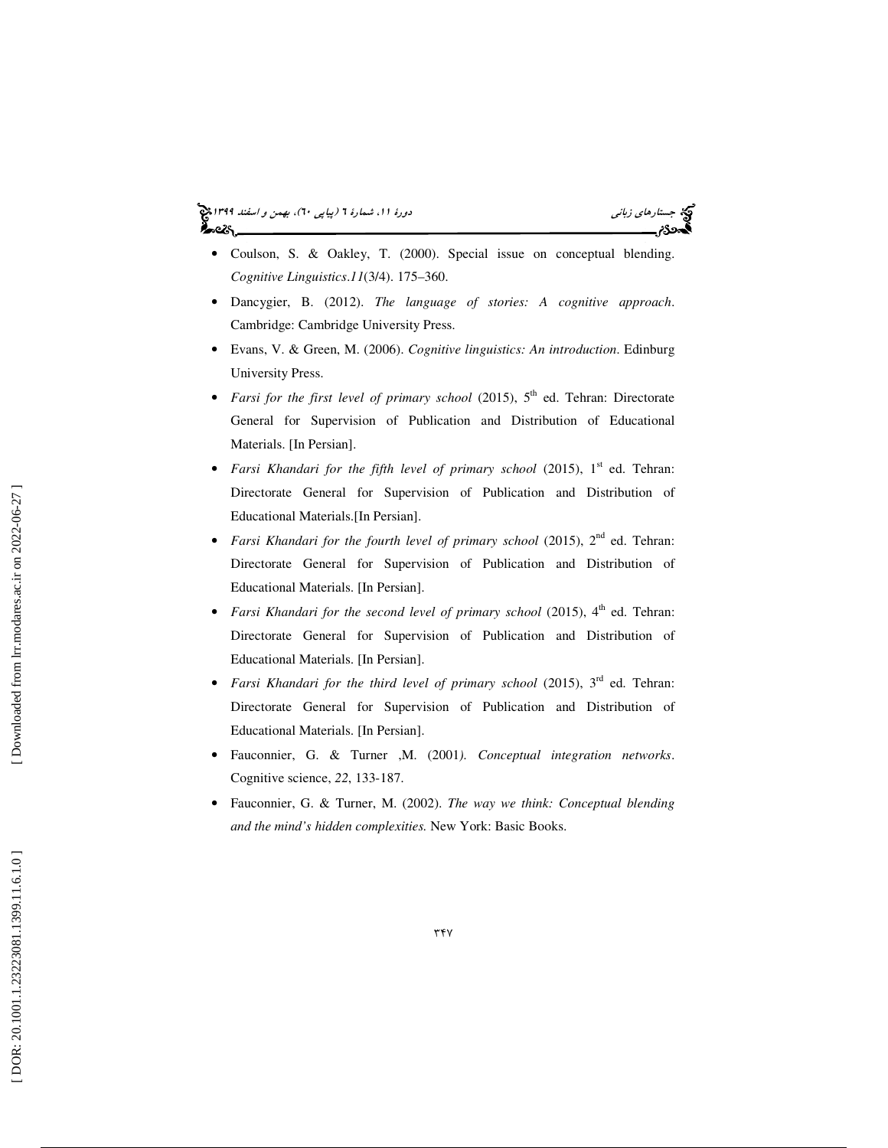#### جستار*هاي زباني (بياپي 60)، بهمن و اسفند 1*398 هجرا بياني دورة 11، شمارة 1 (پياپي ٢٠)، بهم*ن و اسفند 1*394 هج ಹಿಂದಿ



- Coulson, S. & Oakley, T. (2000). Special issue on conceptual blending. *Cognitive Linguistics* .*11*(3/4). 175–360.
- Dancygier, B. (2012). *The language of stories: A cognitive approach*. Cambridge: Cambridge University Press.
- Evans, V. & Green, M. (2006). *Cognitive linguistics: An introduction*. Edinburg University Press.
- *Farsi for the first level of primary school* (2015),  $5<sup>th</sup>$  ed. Tehran: Directorate General for Supervision of Publication and Distribution of Educational Materials. [In Persian].
- *Farsi Khandari for the fifth level of primary school* (2015), 1<sup>st</sup> ed. Tehran: Directorate General for Supervision of Publication and Distribution of Educational Materials.[In Persian].
- *Farsi Khandari for the fourth level of primary school* (2015),  $2^{nd}$  ed. Tehran: Directorate General for Supervision of Publication and Distribution of Educational Materials. [In Persian].
- *Farsi Khandari for the second level of primary school* (2015), 4<sup>th</sup> ed. Tehran: Directorate General for Supervision of Publication and Distribution of Educational Materials. [In Persian].
- *Farsi Khandari for the third level of primary school* (2015), 3<sup>rd</sup> ed. Tehran: Directorate General for Supervision of Publication and Distribution of Educational Materials. [In Persian].
- Fauconnier, G. & Turner ,M. (2001*). Conceptual integration networks*. Cognitive science, *22*, 133-187.
- Fauconnier, G. & Turner, M. (2002). *The way we think: Conceptual blending and the mind's hidden complexities.* New York: Basic Books.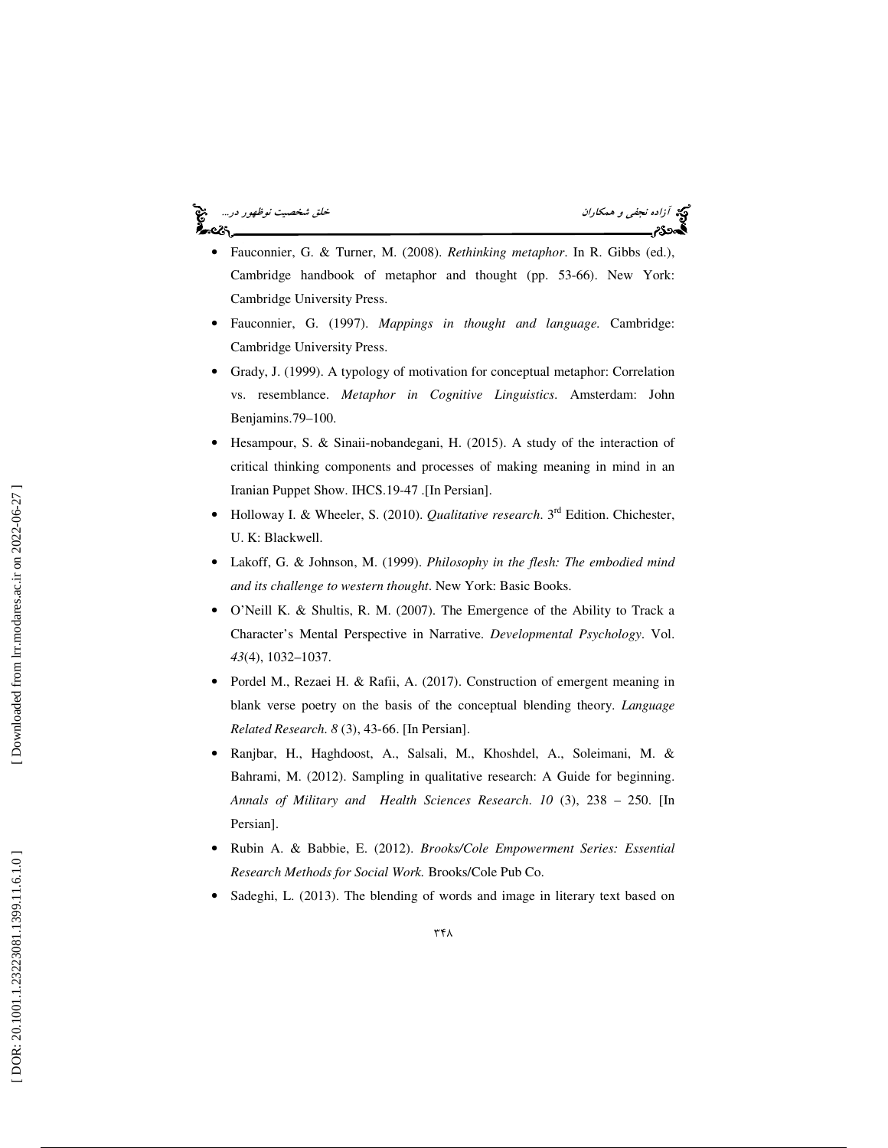# '∽વડ



- Fauconnier, G. & Turner, M. (2008). *Rethinking metaphor*. In R. Gibbs (ed.), Cambridge handbook of metaphor and thought (pp. 53-66). New York: Cambridge University Press.
- Fauconnier, G. (1997). *Mappings in thought and language.* Cambridge: Cambridge University Press.
- Grady, J. (1999). A typology of motivation for conceptual metaphor: Correlation vs. resemblance. *Metaphor in Cognitive Linguistics*. Amsterdam: John Benjamins.79–100.
- Hesampour, S. & Sinaii-nobandegani, H. (2015). A study of the interaction of critical thinking components and processes of making meaning in mind in an Iranian Puppet Show. IHCS.19-47 .[In Persian].
- Holloway I. & Wheeler, S. (2010). *Qualitative research*. 3rd Edition. Chichester, U. K: Blackwell.
- Lakoff, G. & Johnson, M. (1999). *Philosophy in the flesh: The embodied mind and its challenge to western thought*. New York: Basic Books.
- O'Neill K. & Shultis, R. M. (2007). The Emergence of the Ability to Track a Character's Mental Perspective in Narrative. *Developmental Psychology*. Vol. *43*(4), 1032–1037.
- Pordel M., Rezaei H. & Rafii, A. (2017). Construction of emergent meaning in blank verse poetry on the basis of the conceptual blending theory. *Language Related Research*. *8* (3), 43-66. [In Persian].
- Ranjbar, H., Haghdoost, A., Salsali, M., Khoshdel, A., Soleimani, M. & Bahrami, M. (2012). Sampling in qualitative research: A Guide for beginning. *Annals of Military and Health Sciences Research*. *10* (3), 238 – 250. [In Persian].
- Rubin A. & Babbie, E. (2012). *Brooks/Cole Empowerment Series: Essential Research Methods for Social Work.* Brooks/Cole Pub Co.
- Sadeghi, L. (2013). The blending of words and image in literary text based on

٣۴٨